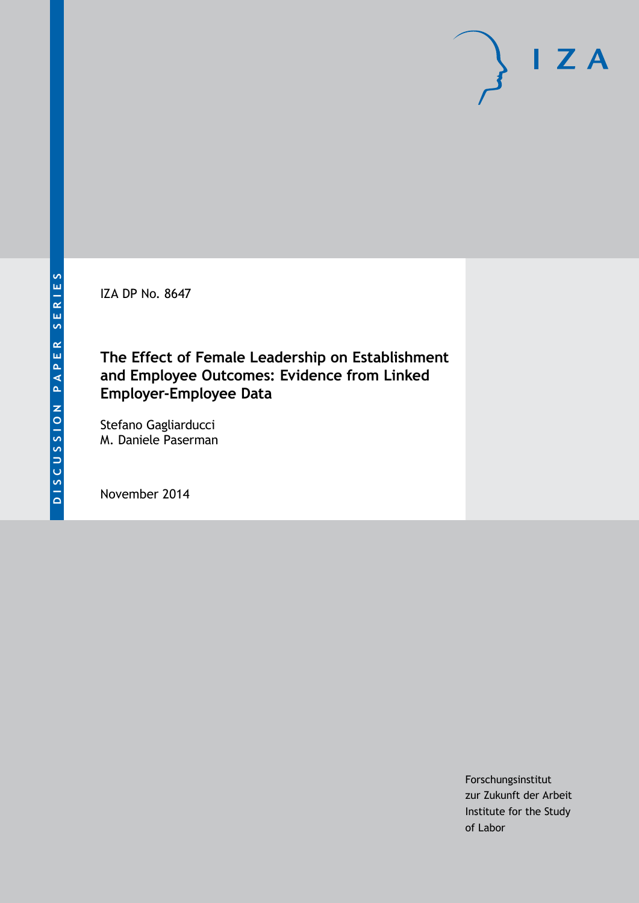IZA DP No. 8647

# **The Effect of Female Leadership on Establishment and Employee Outcomes: Evidence from Linked Employer-Employee Data**

Stefano Gagliarducci M. Daniele Paserman

November 2014

Forschungsinstitut zur Zukunft der Arbeit Institute for the Study of Labor

 $I Z A$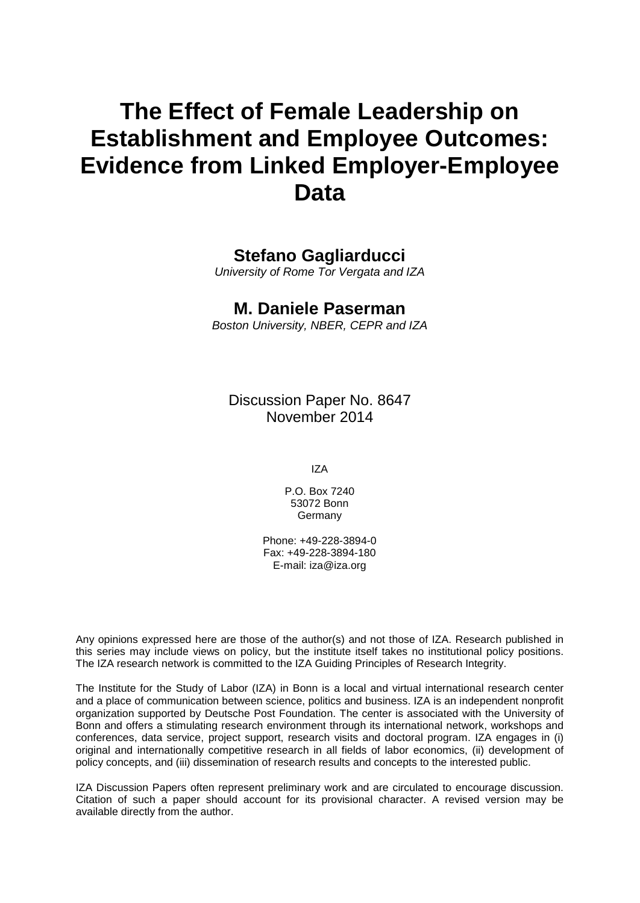# **The Effect of Female Leadership on Establishment and Employee Outcomes: Evidence from Linked Employer-Employee Data**

### **Stefano Gagliarducci**

*University of Rome Tor Vergata and IZA*

#### **M. Daniele Paserman**

*Boston University, NBER, CEPR and IZA*

Discussion Paper No. 8647 November 2014

IZA

P.O. Box 7240 53072 Bonn **Germany** 

Phone: +49-228-3894-0 Fax: +49-228-3894-180 E-mail: [iza@iza.org](mailto:iza@iza.org)

Any opinions expressed here are those of the author(s) and not those of IZA. Research published in this series may include views on policy, but the institute itself takes no institutional policy positions. The IZA research network is committed to the IZA Guiding Principles of Research Integrity.

The Institute for the Study of Labor (IZA) in Bonn is a local and virtual international research center and a place of communication between science, politics and business. IZA is an independent nonprofit organization supported by Deutsche Post Foundation. The center is associated with the University of Bonn and offers a stimulating research environment through its international network, workshops and conferences, data service, project support, research visits and doctoral program. IZA engages in (i) original and internationally competitive research in all fields of labor economics, (ii) development of policy concepts, and (iii) dissemination of research results and concepts to the interested public.

<span id="page-1-0"></span>IZA Discussion Papers often represent preliminary work and are circulated to encourage discussion. Citation of such a paper should account for its provisional character. A revised version may be available directly from the author.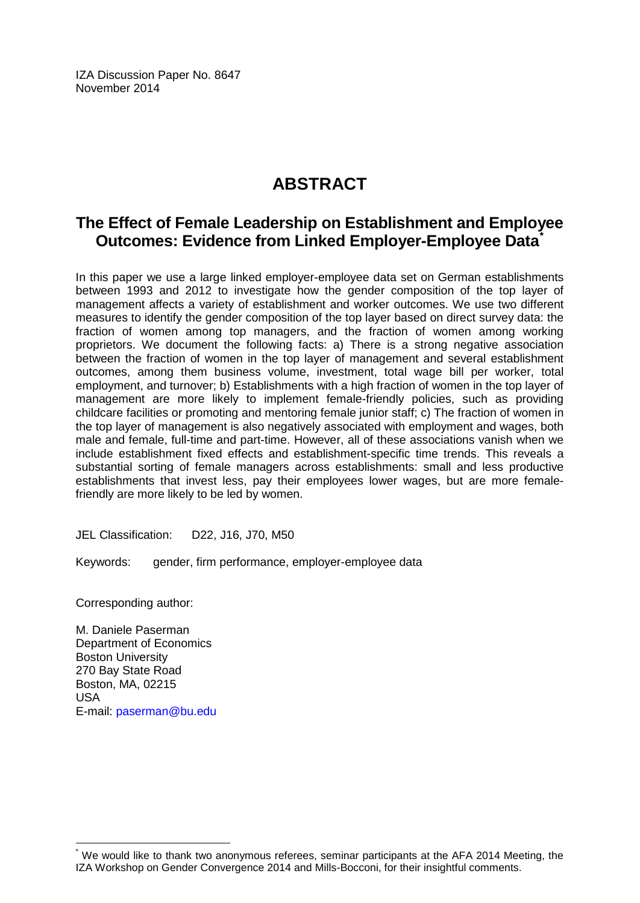IZA Discussion Paper No. 8647 November 2014

# **ABSTRACT**

### **The Effect of Female Leadership on Establishment and Employee Outcomes: Evidence from Linked Employer-Employee Data[\\*](#page-1-0)**

In this paper we use a large linked employer-employee data set on German establishments between 1993 and 2012 to investigate how the gender composition of the top layer of management affects a variety of establishment and worker outcomes. We use two different measures to identify the gender composition of the top layer based on direct survey data: the fraction of women among top managers, and the fraction of women among working proprietors. We document the following facts: a) There is a strong negative association between the fraction of women in the top layer of management and several establishment outcomes, among them business volume, investment, total wage bill per worker, total employment, and turnover; b) Establishments with a high fraction of women in the top layer of management are more likely to implement female-friendly policies, such as providing childcare facilities or promoting and mentoring female junior staff; c) The fraction of women in the top layer of management is also negatively associated with employment and wages, both male and female, full-time and part-time. However, all of these associations vanish when we include establishment fixed effects and establishment-specific time trends. This reveals a substantial sorting of female managers across establishments: small and less productive establishments that invest less, pay their employees lower wages, but are more femalefriendly are more likely to be led by women.

JEL Classification: D22, J16, J70, M50

Keywords: gender, firm performance, employer-employee data

Corresponding author:

M. Daniele Paserman Department of Economics Boston University 270 Bay State Road Boston, MA, 02215 USA E-mail: [paserman@bu.edu](mailto:paserman@bu.edu)

We would like to thank two anonymous referees, seminar participants at the AFA 2014 Meeting, the IZA Workshop on Gender Convergence 2014 and Mills-Bocconi, for their insightful comments.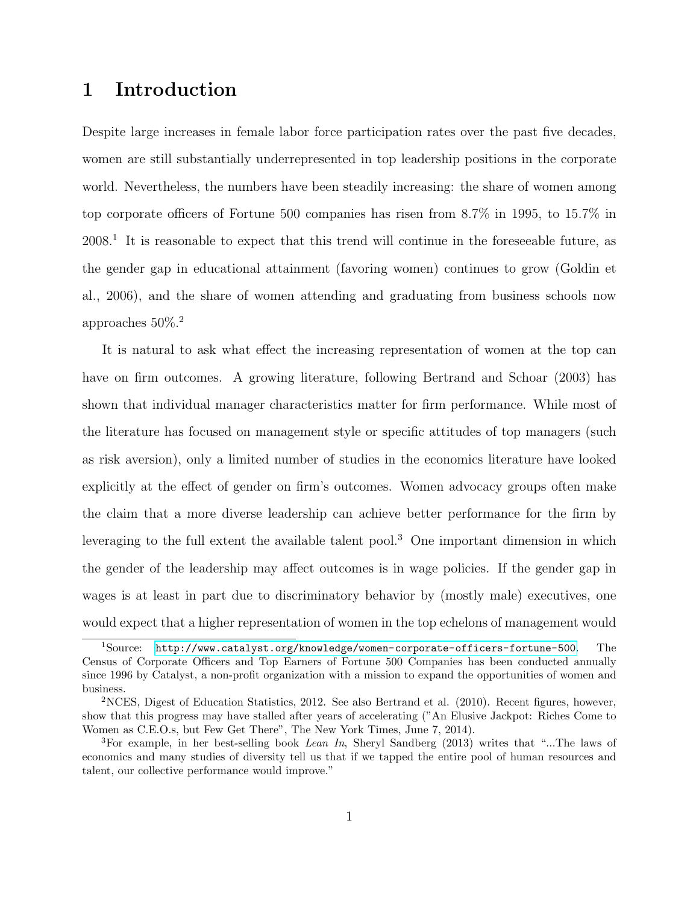# 1 Introduction

Despite large increases in female labor force participation rates over the past five decades, women are still substantially underrepresented in top leadership positions in the corporate world. Nevertheless, the numbers have been steadily increasing: the share of women among top corporate officers of Fortune 500 companies has risen from 8.7% in 1995, to 15.7% in 2008.<sup>1</sup> It is reasonable to expect that this trend will continue in the foreseeable future, as the gender gap in educational attainment (favoring women) continues to grow (Goldin et al., 2006), and the share of women attending and graduating from business schools now approaches 50%.<sup>2</sup>

It is natural to ask what effect the increasing representation of women at the top can have on firm outcomes. A growing literature, following Bertrand and Schoar (2003) has shown that individual manager characteristics matter for firm performance. While most of the literature has focused on management style or specific attitudes of top managers (such as risk aversion), only a limited number of studies in the economics literature have looked explicitly at the effect of gender on firm's outcomes. Women advocacy groups often make the claim that a more diverse leadership can achieve better performance for the firm by leveraging to the full extent the available talent pool.<sup>3</sup> One important dimension in which the gender of the leadership may affect outcomes is in wage policies. If the gender gap in wages is at least in part due to discriminatory behavior by (mostly male) executives, one would expect that a higher representation of women in the top echelons of management would

<sup>1</sup>Source: <http://www.catalyst.org/knowledge/women-corporate-officers-fortune-500>. The Census of Corporate Officers and Top Earners of Fortune 500 Companies has been conducted annually since 1996 by Catalyst, a non-profit organization with a mission to expand the opportunities of women and business.

<sup>2</sup>NCES, Digest of Education Statistics, 2012. See also Bertrand et al. (2010). Recent figures, however, show that this progress may have stalled after years of accelerating ("An Elusive Jackpot: Riches Come to Women as C.E.O.s, but Few Get There", The New York Times, June 7, 2014).

<sup>&</sup>lt;sup>3</sup>For example, in her best-selling book *Lean In*, Sheryl Sandberg (2013) writes that "...The laws of economics and many studies of diversity tell us that if we tapped the entire pool of human resources and talent, our collective performance would improve."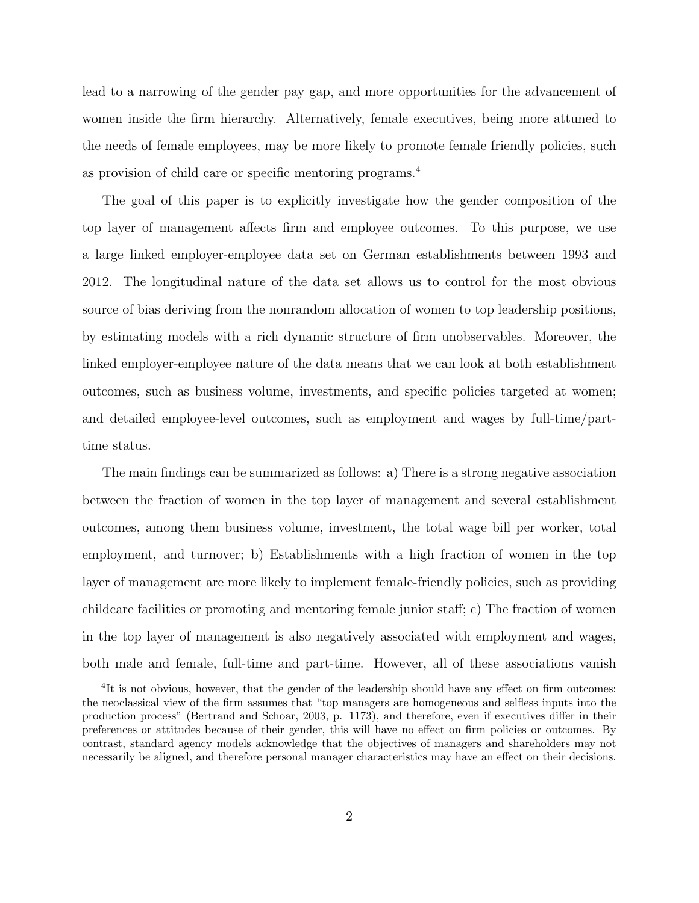lead to a narrowing of the gender pay gap, and more opportunities for the advancement of women inside the firm hierarchy. Alternatively, female executives, being more attuned to the needs of female employees, may be more likely to promote female friendly policies, such as provision of child care or specific mentoring programs.<sup>4</sup>

The goal of this paper is to explicitly investigate how the gender composition of the top layer of management affects firm and employee outcomes. To this purpose, we use a large linked employer-employee data set on German establishments between 1993 and 2012. The longitudinal nature of the data set allows us to control for the most obvious source of bias deriving from the nonrandom allocation of women to top leadership positions, by estimating models with a rich dynamic structure of firm unobservables. Moreover, the linked employer-employee nature of the data means that we can look at both establishment outcomes, such as business volume, investments, and specific policies targeted at women; and detailed employee-level outcomes, such as employment and wages by full-time/parttime status.

The main findings can be summarized as follows: a) There is a strong negative association between the fraction of women in the top layer of management and several establishment outcomes, among them business volume, investment, the total wage bill per worker, total employment, and turnover; b) Establishments with a high fraction of women in the top layer of management are more likely to implement female-friendly policies, such as providing childcare facilities or promoting and mentoring female junior staff; c) The fraction of women in the top layer of management is also negatively associated with employment and wages, both male and female, full-time and part-time. However, all of these associations vanish

<sup>&</sup>lt;sup>4</sup>It is not obvious, however, that the gender of the leadership should have any effect on firm outcomes: the neoclassical view of the firm assumes that "top managers are homogeneous and selfless inputs into the production process" (Bertrand and Schoar, 2003, p. 1173), and therefore, even if executives differ in their preferences or attitudes because of their gender, this will have no effect on firm policies or outcomes. By contrast, standard agency models acknowledge that the objectives of managers and shareholders may not necessarily be aligned, and therefore personal manager characteristics may have an effect on their decisions.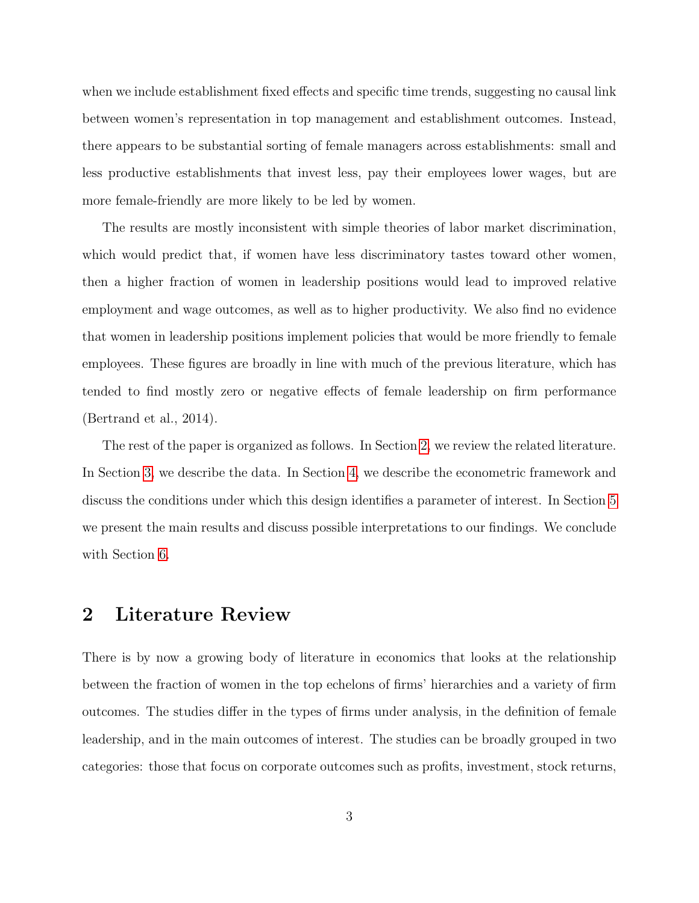when we include establishment fixed effects and specific time trends, suggesting no causal link between women's representation in top management and establishment outcomes. Instead, there appears to be substantial sorting of female managers across establishments: small and less productive establishments that invest less, pay their employees lower wages, but are more female-friendly are more likely to be led by women.

The results are mostly inconsistent with simple theories of labor market discrimination, which would predict that, if women have less discriminatory tastes toward other women, then a higher fraction of women in leadership positions would lead to improved relative employment and wage outcomes, as well as to higher productivity. We also find no evidence that women in leadership positions implement policies that would be more friendly to female employees. These figures are broadly in line with much of the previous literature, which has tended to find mostly zero or negative effects of female leadership on firm performance (Bertrand et al., 2014).

The rest of the paper is organized as follows. In Section [2,](#page-5-0) we review the related literature. In Section [3,](#page-9-0) we describe the data. In Section [4,](#page-13-0) we describe the econometric framework and discuss the conditions under which this design identifies a parameter of interest. In Section [5](#page-15-0) we present the main results and discuss possible interpretations to our findings. We conclude with Section [6.](#page-22-0)

### <span id="page-5-0"></span>2 Literature Review

There is by now a growing body of literature in economics that looks at the relationship between the fraction of women in the top echelons of firms' hierarchies and a variety of firm outcomes. The studies differ in the types of firms under analysis, in the definition of female leadership, and in the main outcomes of interest. The studies can be broadly grouped in two categories: those that focus on corporate outcomes such as profits, investment, stock returns,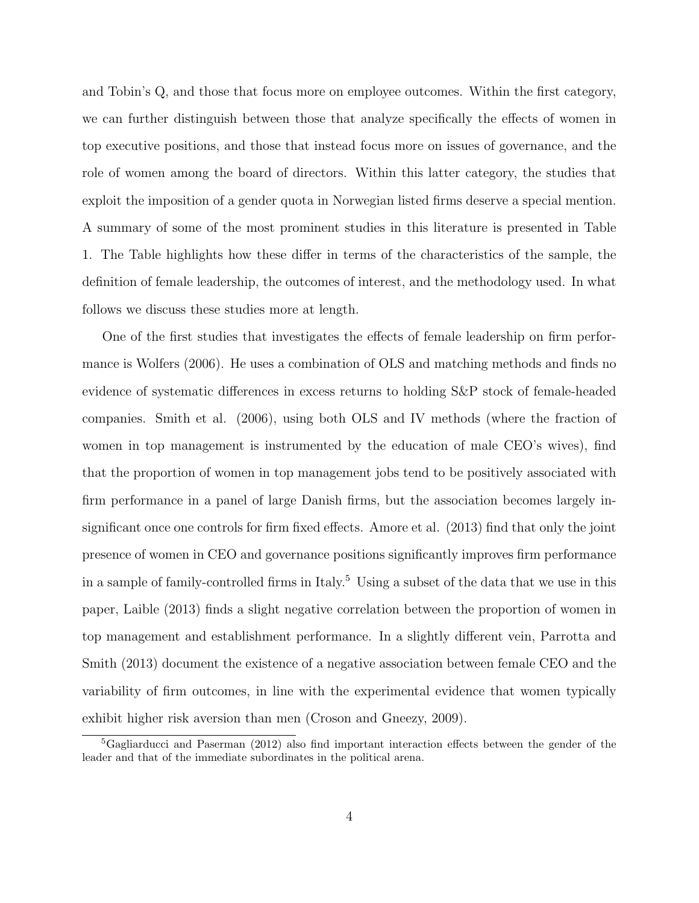and Tobin's Q, and those that focus more on employee outcomes. Within the first category, we can further distinguish between those that analyze specifically the effects of women in top executive positions, and those that instead focus more on issues of governance, and the role of women among the board of directors. Within this latter category, the studies that exploit the imposition of a gender quota in Norwegian listed firms deserve a special mention. A summary of some of the most prominent studies in this literature is presented in Table 1. The Table highlights how these differ in terms of the characteristics of the sample, the definition of female leadership, the outcomes of interest, and the methodology used. In what follows we discuss these studies more at length.

One of the first studies that investigates the effects of female leadership on firm performance is Wolfers (2006). He uses a combination of OLS and matching methods and finds no evidence of systematic differences in excess returns to holding S&P stock of female-headed companies. Smith et al. (2006), using both OLS and IV methods (where the fraction of women in top management is instrumented by the education of male CEO's wives), find that the proportion of women in top management jobs tend to be positively associated with firm performance in a panel of large Danish firms, but the association becomes largely insignificant once one controls for firm fixed effects. Amore et al. (2013) find that only the joint presence of women in CEO and governance positions significantly improves firm performance in a sample of family-controlled firms in Italy.<sup>5</sup> Using a subset of the data that we use in this paper, Laible (2013) finds a slight negative correlation between the proportion of women in top management and establishment performance. In a slightly different vein, Parrotta and Smith (2013) document the existence of a negative association between female CEO and the variability of firm outcomes, in line with the experimental evidence that women typically exhibit higher risk aversion than men (Croson and Gneezy, 2009).

<sup>5</sup>Gagliarducci and Paserman (2012) also find important interaction effects between the gender of the leader and that of the immediate subordinates in the political arena.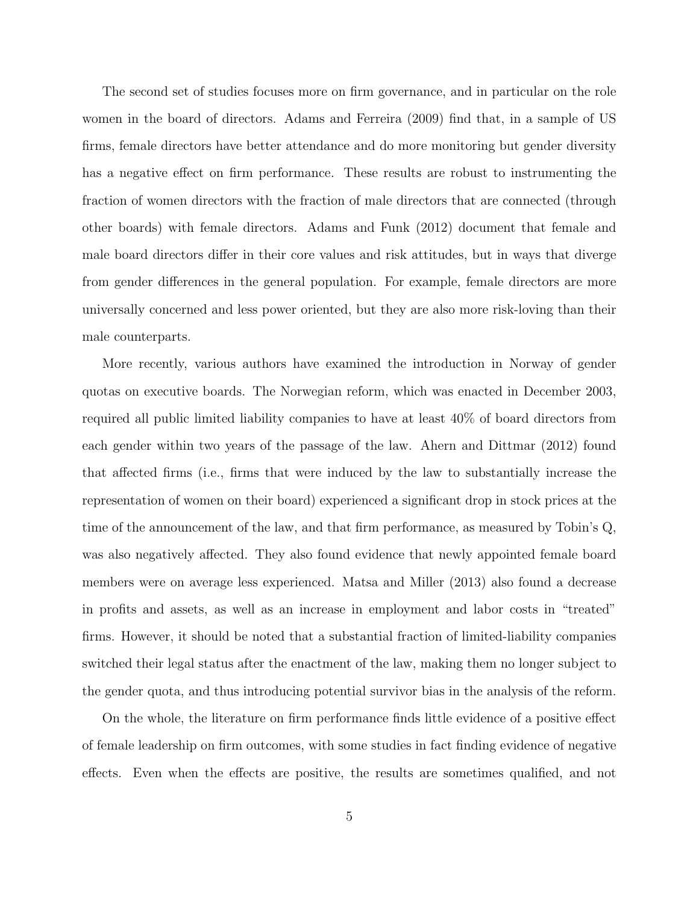The second set of studies focuses more on firm governance, and in particular on the role women in the board of directors. Adams and Ferreira (2009) find that, in a sample of US firms, female directors have better attendance and do more monitoring but gender diversity has a negative effect on firm performance. These results are robust to instrumenting the fraction of women directors with the fraction of male directors that are connected (through other boards) with female directors. Adams and Funk (2012) document that female and male board directors differ in their core values and risk attitudes, but in ways that diverge from gender differences in the general population. For example, female directors are more universally concerned and less power oriented, but they are also more risk-loving than their male counterparts.

More recently, various authors have examined the introduction in Norway of gender quotas on executive boards. The Norwegian reform, which was enacted in December 2003, required all public limited liability companies to have at least 40% of board directors from each gender within two years of the passage of the law. Ahern and Dittmar (2012) found that affected firms (i.e., firms that were induced by the law to substantially increase the representation of women on their board) experienced a significant drop in stock prices at the time of the announcement of the law, and that firm performance, as measured by Tobin's Q, was also negatively affected. They also found evidence that newly appointed female board members were on average less experienced. Matsa and Miller (2013) also found a decrease in profits and assets, as well as an increase in employment and labor costs in "treated" firms. However, it should be noted that a substantial fraction of limited-liability companies switched their legal status after the enactment of the law, making them no longer subject to the gender quota, and thus introducing potential survivor bias in the analysis of the reform.

On the whole, the literature on firm performance finds little evidence of a positive effect of female leadership on firm outcomes, with some studies in fact finding evidence of negative effects. Even when the effects are positive, the results are sometimes qualified, and not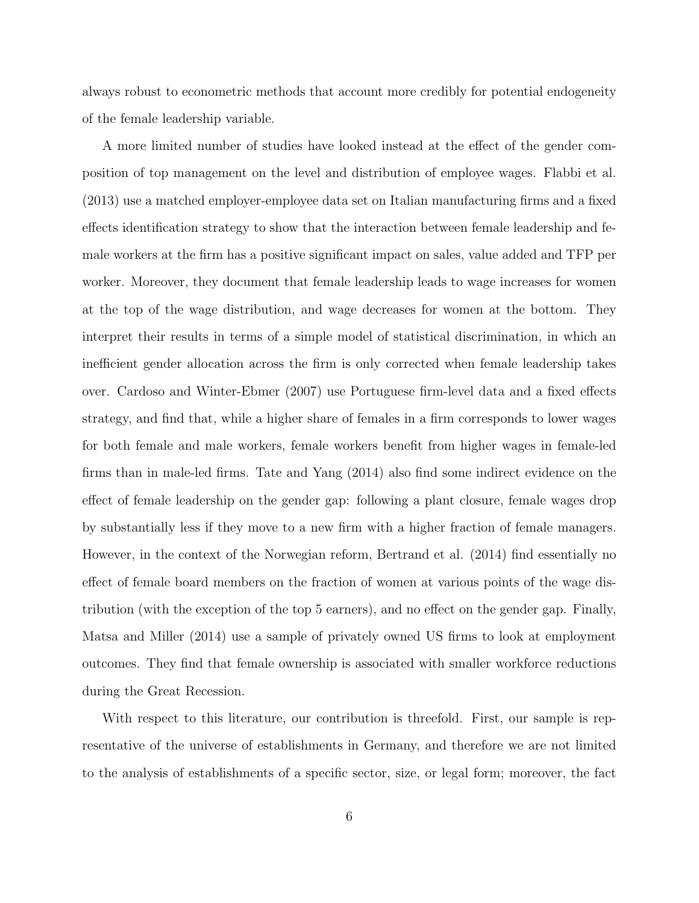always robust to econometric methods that account more credibly for potential endogeneity of the female leadership variable.

A more limited number of studies have looked instead at the effect of the gender composition of top management on the level and distribution of employee wages. Flabbi et al. (2013) use a matched employer-employee data set on Italian manufacturing firms and a fixed effects identification strategy to show that the interaction between female leadership and female workers at the firm has a positive significant impact on sales, value added and TFP per worker. Moreover, they document that female leadership leads to wage increases for women at the top of the wage distribution, and wage decreases for women at the bottom. They interpret their results in terms of a simple model of statistical discrimination, in which an inefficient gender allocation across the firm is only corrected when female leadership takes over. Cardoso and Winter-Ebmer (2007) use Portuguese firm-level data and a fixed effects strategy, and find that, while a higher share of females in a firm corresponds to lower wages for both female and male workers, female workers benefit from higher wages in female-led firms than in male-led firms. Tate and Yang (2014) also find some indirect evidence on the effect of female leadership on the gender gap: following a plant closure, female wages drop by substantially less if they move to a new firm with a higher fraction of female managers. However, in the context of the Norwegian reform, Bertrand et al. (2014) find essentially no effect of female board members on the fraction of women at various points of the wage distribution (with the exception of the top 5 earners), and no effect on the gender gap. Finally, Matsa and Miller (2014) use a sample of privately owned US firms to look at employment outcomes. They find that female ownership is associated with smaller workforce reductions during the Great Recession.

With respect to this literature, our contribution is threefold. First, our sample is representative of the universe of establishments in Germany, and therefore we are not limited to the analysis of establishments of a specific sector, size, or legal form; moreover, the fact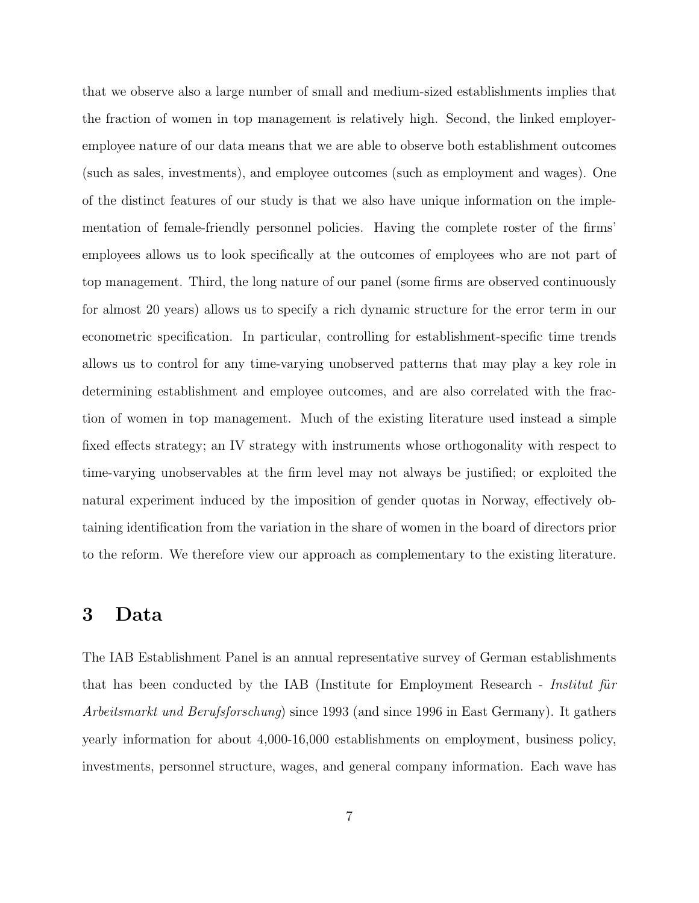that we observe also a large number of small and medium-sized establishments implies that the fraction of women in top management is relatively high. Second, the linked employeremployee nature of our data means that we are able to observe both establishment outcomes (such as sales, investments), and employee outcomes (such as employment and wages). One of the distinct features of our study is that we also have unique information on the implementation of female-friendly personnel policies. Having the complete roster of the firms' employees allows us to look specifically at the outcomes of employees who are not part of top management. Third, the long nature of our panel (some firms are observed continuously for almost 20 years) allows us to specify a rich dynamic structure for the error term in our econometric specification. In particular, controlling for establishment-specific time trends allows us to control for any time-varying unobserved patterns that may play a key role in determining establishment and employee outcomes, and are also correlated with the fraction of women in top management. Much of the existing literature used instead a simple fixed effects strategy; an IV strategy with instruments whose orthogonality with respect to time-varying unobservables at the firm level may not always be justified; or exploited the natural experiment induced by the imposition of gender quotas in Norway, effectively obtaining identification from the variation in the share of women in the board of directors prior to the reform. We therefore view our approach as complementary to the existing literature.

### <span id="page-9-0"></span>3 Data

The IAB Establishment Panel is an annual representative survey of German establishments that has been conducted by the IAB (Institute for Employment Research - *Institut fur* Arbeitsmarkt und Berufsforschung) since 1993 (and since 1996 in East Germany). It gathers yearly information for about 4,000-16,000 establishments on employment, business policy, investments, personnel structure, wages, and general company information. Each wave has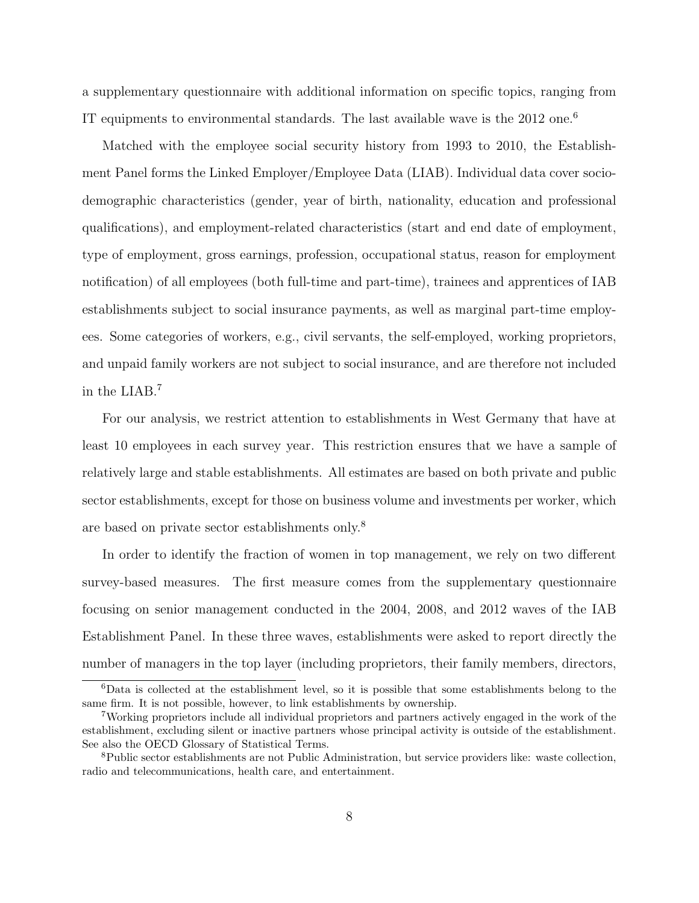a supplementary questionnaire with additional information on specific topics, ranging from IT equipments to environmental standards. The last available wave is the 2012 one.<sup>6</sup>

Matched with the employee social security history from 1993 to 2010, the Establishment Panel forms the Linked Employer/Employee Data (LIAB). Individual data cover sociodemographic characteristics (gender, year of birth, nationality, education and professional qualifications), and employment-related characteristics (start and end date of employment, type of employment, gross earnings, profession, occupational status, reason for employment notification) of all employees (both full-time and part-time), trainees and apprentices of IAB establishments subject to social insurance payments, as well as marginal part-time employees. Some categories of workers, e.g., civil servants, the self-employed, working proprietors, and unpaid family workers are not subject to social insurance, and are therefore not included in the LIAB.<sup>7</sup>

For our analysis, we restrict attention to establishments in West Germany that have at least 10 employees in each survey year. This restriction ensures that we have a sample of relatively large and stable establishments. All estimates are based on both private and public sector establishments, except for those on business volume and investments per worker, which are based on private sector establishments only.<sup>8</sup>

In order to identify the fraction of women in top management, we rely on two different survey-based measures. The first measure comes from the supplementary questionnaire focusing on senior management conducted in the 2004, 2008, and 2012 waves of the IAB Establishment Panel. In these three waves, establishments were asked to report directly the number of managers in the top layer (including proprietors, their family members, directors,

<sup>6</sup>Data is collected at the establishment level, so it is possible that some establishments belong to the same firm. It is not possible, however, to link establishments by ownership.

<sup>7</sup>Working proprietors include all individual proprietors and partners actively engaged in the work of the establishment, excluding silent or inactive partners whose principal activity is outside of the establishment. See also the OECD Glossary of Statistical Terms.

<sup>8</sup>Public sector establishments are not Public Administration, but service providers like: waste collection, radio and telecommunications, health care, and entertainment.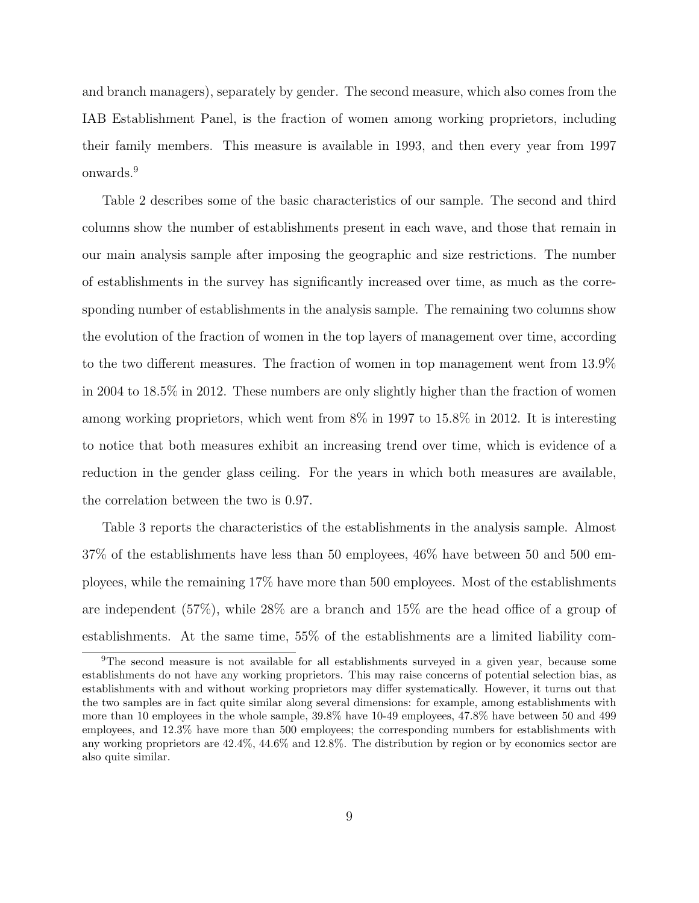and branch managers), separately by gender. The second measure, which also comes from the IAB Establishment Panel, is the fraction of women among working proprietors, including their family members. This measure is available in 1993, and then every year from 1997 onwards.<sup>9</sup>

Table 2 describes some of the basic characteristics of our sample. The second and third columns show the number of establishments present in each wave, and those that remain in our main analysis sample after imposing the geographic and size restrictions. The number of establishments in the survey has significantly increased over time, as much as the corresponding number of establishments in the analysis sample. The remaining two columns show the evolution of the fraction of women in the top layers of management over time, according to the two different measures. The fraction of women in top management went from 13.9% in 2004 to 18.5% in 2012. These numbers are only slightly higher than the fraction of women among working proprietors, which went from 8% in 1997 to 15.8% in 2012. It is interesting to notice that both measures exhibit an increasing trend over time, which is evidence of a reduction in the gender glass ceiling. For the years in which both measures are available, the correlation between the two is 0.97.

Table 3 reports the characteristics of the establishments in the analysis sample. Almost 37% of the establishments have less than 50 employees, 46% have between 50 and 500 employees, while the remaining 17% have more than 500 employees. Most of the establishments are independent (57%), while 28% are a branch and 15% are the head office of a group of establishments. At the same time, 55% of the establishments are a limited liability com-

<sup>9</sup>The second measure is not available for all establishments surveyed in a given year, because some establishments do not have any working proprietors. This may raise concerns of potential selection bias, as establishments with and without working proprietors may differ systematically. However, it turns out that the two samples are in fact quite similar along several dimensions: for example, among establishments with more than 10 employees in the whole sample, 39.8% have 10-49 employees, 47.8% have between 50 and 499 employees, and 12.3% have more than 500 employees; the corresponding numbers for establishments with any working proprietors are 42.4%, 44.6% and 12.8%. The distribution by region or by economics sector are also quite similar.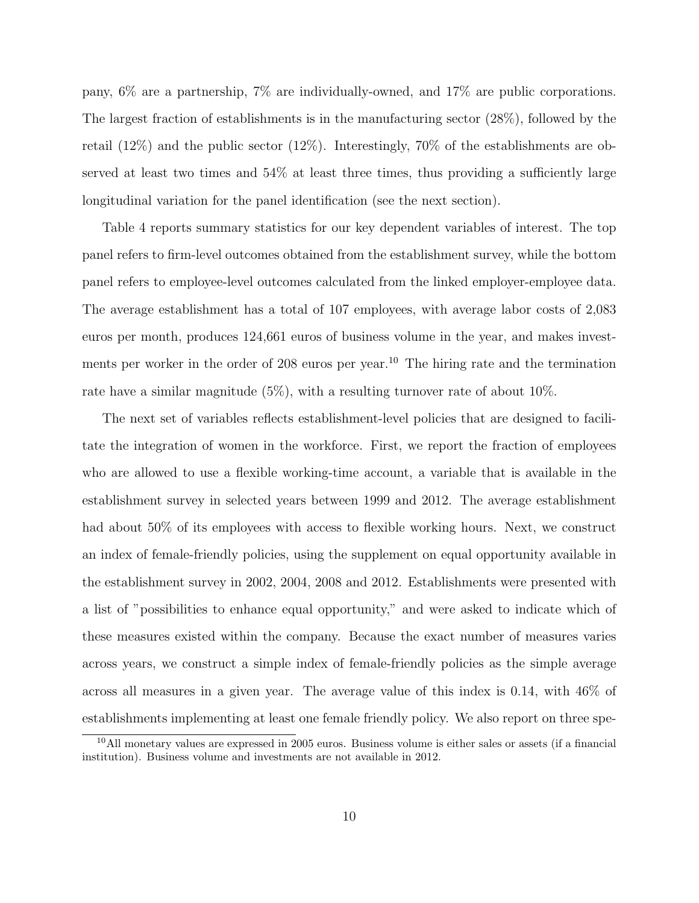pany, 6% are a partnership, 7% are individually-owned, and 17% are public corporations. The largest fraction of establishments is in the manufacturing sector (28%), followed by the retail (12%) and the public sector (12%). Interestingly, 70% of the establishments are observed at least two times and 54% at least three times, thus providing a sufficiently large longitudinal variation for the panel identification (see the next section).

Table 4 reports summary statistics for our key dependent variables of interest. The top panel refers to firm-level outcomes obtained from the establishment survey, while the bottom panel refers to employee-level outcomes calculated from the linked employer-employee data. The average establishment has a total of 107 employees, with average labor costs of 2,083 euros per month, produces 124,661 euros of business volume in the year, and makes investments per worker in the order of 208 euros per year.<sup>10</sup> The hiring rate and the termination rate have a similar magnitude (5%), with a resulting turnover rate of about 10%.

The next set of variables reflects establishment-level policies that are designed to facilitate the integration of women in the workforce. First, we report the fraction of employees who are allowed to use a flexible working-time account, a variable that is available in the establishment survey in selected years between 1999 and 2012. The average establishment had about 50% of its employees with access to flexible working hours. Next, we construct an index of female-friendly policies, using the supplement on equal opportunity available in the establishment survey in 2002, 2004, 2008 and 2012. Establishments were presented with a list of "possibilities to enhance equal opportunity," and were asked to indicate which of these measures existed within the company. Because the exact number of measures varies across years, we construct a simple index of female-friendly policies as the simple average across all measures in a given year. The average value of this index is 0.14, with 46% of establishments implementing at least one female friendly policy. We also report on three spe-

<sup>10</sup>All monetary values are expressed in 2005 euros. Business volume is either sales or assets (if a financial institution). Business volume and investments are not available in 2012.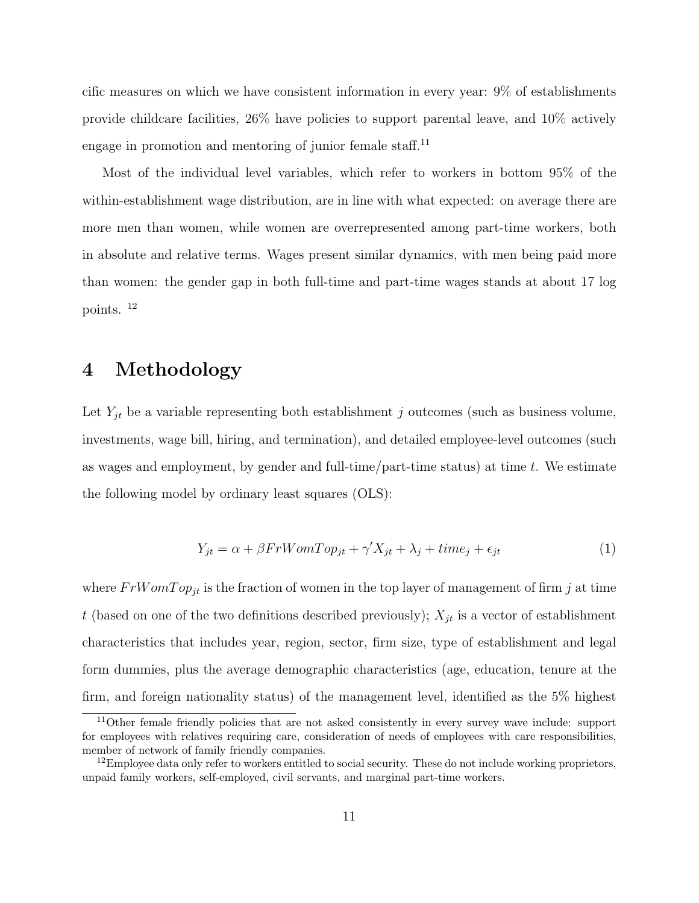cific measures on which we have consistent information in every year: 9% of establishments provide childcare facilities, 26% have policies to support parental leave, and 10% actively engage in promotion and mentoring of junior female staff.<sup>11</sup>

Most of the individual level variables, which refer to workers in bottom 95% of the within-establishment wage distribution, are in line with what expected: on average there are more men than women, while women are overrepresented among part-time workers, both in absolute and relative terms. Wages present similar dynamics, with men being paid more than women: the gender gap in both full-time and part-time wages stands at about 17 log points. <sup>12</sup>

### <span id="page-13-0"></span>4 Methodology

Let  $Y_{jt}$  be a variable representing both establishment j outcomes (such as business volume, investments, wage bill, hiring, and termination), and detailed employee-level outcomes (such as wages and employment, by gender and full-time/part-time status) at time t. We estimate the following model by ordinary least squares (OLS):

$$
Y_{jt} = \alpha + \beta FrWomTop_{jt} + \gamma' X_{jt} + \lambda_j + time_j + \epsilon_{jt}
$$
\n<sup>(1)</sup>

where  $FrWomTop_{it}$  is the fraction of women in the top layer of management of firm j at time t (based on one of the two definitions described previously);  $X_{it}$  is a vector of establishment characteristics that includes year, region, sector, firm size, type of establishment and legal form dummies, plus the average demographic characteristics (age, education, tenure at the firm, and foreign nationality status) of the management level, identified as the 5% highest

<sup>&</sup>lt;sup>11</sup>Other female friendly policies that are not asked consistently in every survey wave include: support for employees with relatives requiring care, consideration of needs of employees with care responsibilities, member of network of family friendly companies.

 $12$ Employee data only refer to workers entitled to social security. These do not include working proprietors, unpaid family workers, self-employed, civil servants, and marginal part-time workers.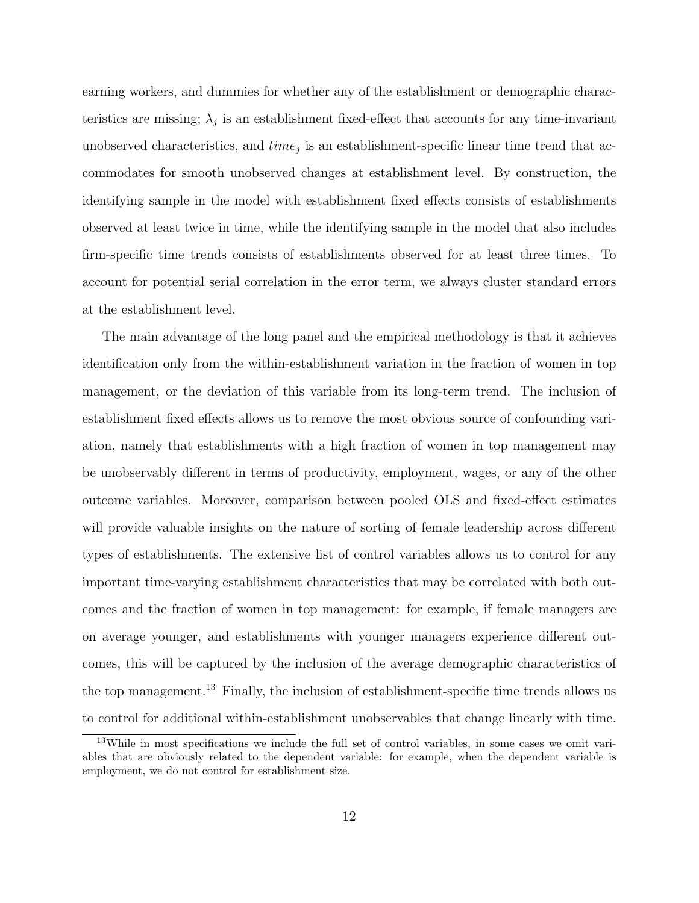earning workers, and dummies for whether any of the establishment or demographic characteristics are missing;  $\lambda_j$  is an establishment fixed-effect that accounts for any time-invariant unobserved characteristics, and  $time_j$  is an establishment-specific linear time trend that accommodates for smooth unobserved changes at establishment level. By construction, the identifying sample in the model with establishment fixed effects consists of establishments observed at least twice in time, while the identifying sample in the model that also includes firm-specific time trends consists of establishments observed for at least three times. To account for potential serial correlation in the error term, we always cluster standard errors at the establishment level.

The main advantage of the long panel and the empirical methodology is that it achieves identification only from the within-establishment variation in the fraction of women in top management, or the deviation of this variable from its long-term trend. The inclusion of establishment fixed effects allows us to remove the most obvious source of confounding variation, namely that establishments with a high fraction of women in top management may be unobservably different in terms of productivity, employment, wages, or any of the other outcome variables. Moreover, comparison between pooled OLS and fixed-effect estimates will provide valuable insights on the nature of sorting of female leadership across different types of establishments. The extensive list of control variables allows us to control for any important time-varying establishment characteristics that may be correlated with both outcomes and the fraction of women in top management: for example, if female managers are on average younger, and establishments with younger managers experience different outcomes, this will be captured by the inclusion of the average demographic characteristics of the top management.<sup>13</sup> Finally, the inclusion of establishment-specific time trends allows us to control for additional within-establishment unobservables that change linearly with time.

<sup>&</sup>lt;sup>13</sup>While in most specifications we include the full set of control variables, in some cases we omit variables that are obviously related to the dependent variable: for example, when the dependent variable is employment, we do not control for establishment size.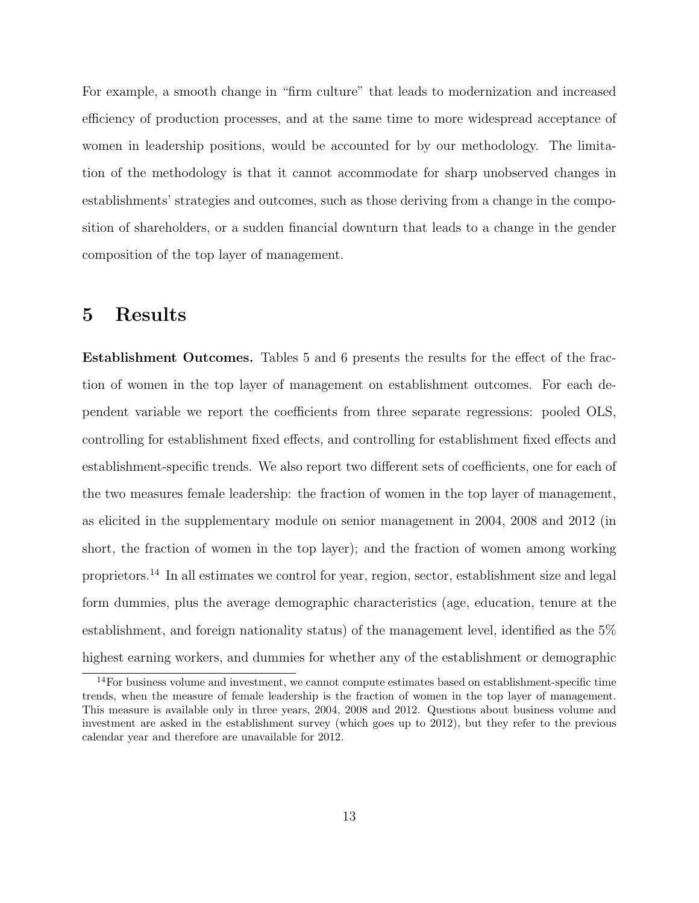For example, a smooth change in "firm culture" that leads to modernization and increased efficiency of production processes, and at the same time to more widespread acceptance of women in leadership positions, would be accounted for by our methodology. The limitation of the methodology is that it cannot accommodate for sharp unobserved changes in establishments' strategies and outcomes, such as those deriving from a change in the composition of shareholders, or a sudden financial downturn that leads to a change in the gender composition of the top layer of management.

### <span id="page-15-0"></span>5 Results

Establishment Outcomes. Tables 5 and 6 presents the results for the effect of the fraction of women in the top layer of management on establishment outcomes. For each dependent variable we report the coefficients from three separate regressions: pooled OLS, controlling for establishment fixed effects, and controlling for establishment fixed effects and establishment-specific trends. We also report two different sets of coefficients, one for each of the two measures female leadership: the fraction of women in the top layer of management, as elicited in the supplementary module on senior management in 2004, 2008 and 2012 (in short, the fraction of women in the top layer); and the fraction of women among working proprietors.<sup>14</sup> In all estimates we control for year, region, sector, establishment size and legal form dummies, plus the average demographic characteristics (age, education, tenure at the establishment, and foreign nationality status) of the management level, identified as the 5% highest earning workers, and dummies for whether any of the establishment or demographic

<sup>&</sup>lt;sup>14</sup>For business volume and investment, we cannot compute estimates based on establishment-specific time trends, when the measure of female leadership is the fraction of women in the top layer of management. This measure is available only in three years, 2004, 2008 and 2012. Questions about business volume and investment are asked in the establishment survey (which goes up to 2012), but they refer to the previous calendar year and therefore are unavailable for 2012.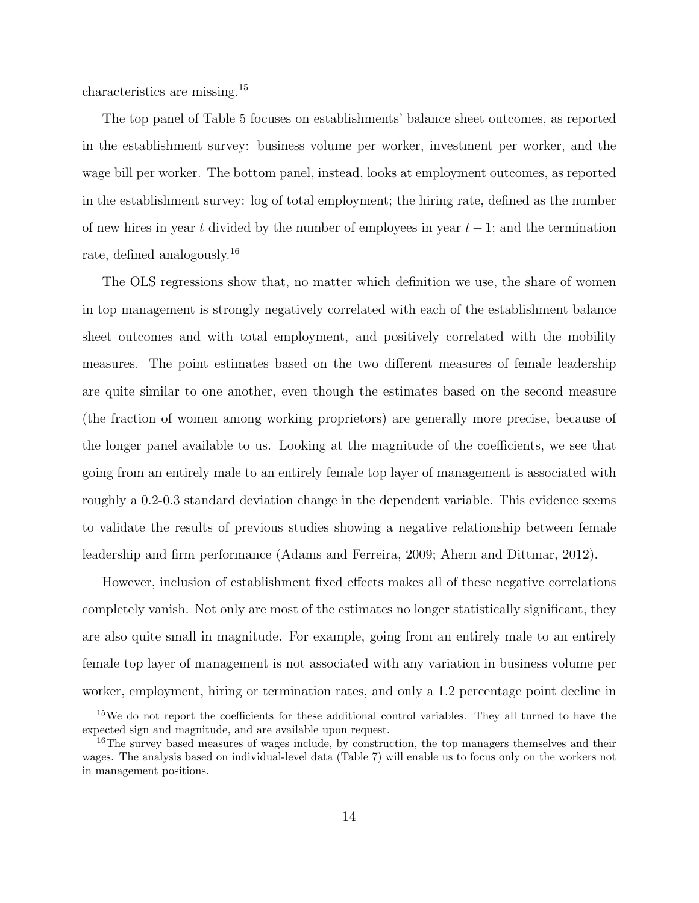characteristics are missing.<sup>15</sup>

The top panel of Table 5 focuses on establishments' balance sheet outcomes, as reported in the establishment survey: business volume per worker, investment per worker, and the wage bill per worker. The bottom panel, instead, looks at employment outcomes, as reported in the establishment survey: log of total employment; the hiring rate, defined as the number of new hires in year t divided by the number of employees in year  $t-1$ ; and the termination rate, defined analogously.<sup>16</sup>

The OLS regressions show that, no matter which definition we use, the share of women in top management is strongly negatively correlated with each of the establishment balance sheet outcomes and with total employment, and positively correlated with the mobility measures. The point estimates based on the two different measures of female leadership are quite similar to one another, even though the estimates based on the second measure (the fraction of women among working proprietors) are generally more precise, because of the longer panel available to us. Looking at the magnitude of the coefficients, we see that going from an entirely male to an entirely female top layer of management is associated with roughly a 0.2-0.3 standard deviation change in the dependent variable. This evidence seems to validate the results of previous studies showing a negative relationship between female leadership and firm performance (Adams and Ferreira, 2009; Ahern and Dittmar, 2012).

However, inclusion of establishment fixed effects makes all of these negative correlations completely vanish. Not only are most of the estimates no longer statistically significant, they are also quite small in magnitude. For example, going from an entirely male to an entirely female top layer of management is not associated with any variation in business volume per worker, employment, hiring or termination rates, and only a 1.2 percentage point decline in

<sup>15</sup>We do not report the coefficients for these additional control variables. They all turned to have the expected sign and magnitude, and are available upon request.

<sup>&</sup>lt;sup>16</sup>The survey based measures of wages include, by construction, the top managers themselves and their wages. The analysis based on individual-level data (Table 7) will enable us to focus only on the workers not in management positions.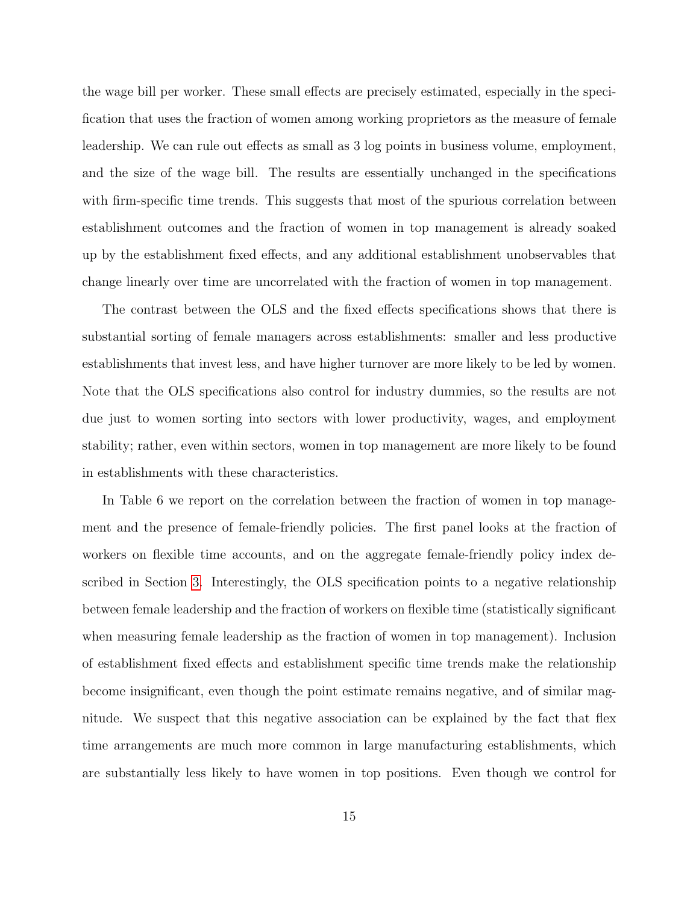the wage bill per worker. These small effects are precisely estimated, especially in the specification that uses the fraction of women among working proprietors as the measure of female leadership. We can rule out effects as small as 3 log points in business volume, employment, and the size of the wage bill. The results are essentially unchanged in the specifications with firm-specific time trends. This suggests that most of the spurious correlation between establishment outcomes and the fraction of women in top management is already soaked up by the establishment fixed effects, and any additional establishment unobservables that change linearly over time are uncorrelated with the fraction of women in top management.

The contrast between the OLS and the fixed effects specifications shows that there is substantial sorting of female managers across establishments: smaller and less productive establishments that invest less, and have higher turnover are more likely to be led by women. Note that the OLS specifications also control for industry dummies, so the results are not due just to women sorting into sectors with lower productivity, wages, and employment stability; rather, even within sectors, women in top management are more likely to be found in establishments with these characteristics.

In Table 6 we report on the correlation between the fraction of women in top management and the presence of female-friendly policies. The first panel looks at the fraction of workers on flexible time accounts, and on the aggregate female-friendly policy index described in Section [3.](#page-9-0) Interestingly, the OLS specification points to a negative relationship between female leadership and the fraction of workers on flexible time (statistically significant when measuring female leadership as the fraction of women in top management). Inclusion of establishment fixed effects and establishment specific time trends make the relationship become insignificant, even though the point estimate remains negative, and of similar magnitude. We suspect that this negative association can be explained by the fact that flex time arrangements are much more common in large manufacturing establishments, which are substantially less likely to have women in top positions. Even though we control for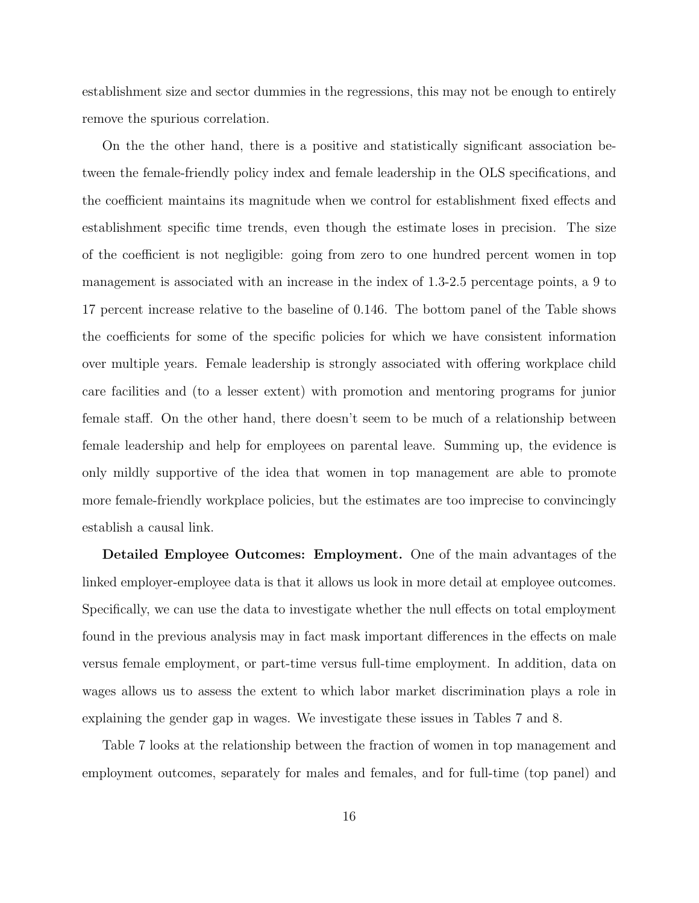establishment size and sector dummies in the regressions, this may not be enough to entirely remove the spurious correlation.

On the the other hand, there is a positive and statistically significant association between the female-friendly policy index and female leadership in the OLS specifications, and the coefficient maintains its magnitude when we control for establishment fixed effects and establishment specific time trends, even though the estimate loses in precision. The size of the coefficient is not negligible: going from zero to one hundred percent women in top management is associated with an increase in the index of 1.3-2.5 percentage points, a 9 to 17 percent increase relative to the baseline of 0.146. The bottom panel of the Table shows the coefficients for some of the specific policies for which we have consistent information over multiple years. Female leadership is strongly associated with offering workplace child care facilities and (to a lesser extent) with promotion and mentoring programs for junior female staff. On the other hand, there doesn't seem to be much of a relationship between female leadership and help for employees on parental leave. Summing up, the evidence is only mildly supportive of the idea that women in top management are able to promote more female-friendly workplace policies, but the estimates are too imprecise to convincingly establish a causal link.

Detailed Employee Outcomes: Employment. One of the main advantages of the linked employer-employee data is that it allows us look in more detail at employee outcomes. Specifically, we can use the data to investigate whether the null effects on total employment found in the previous analysis may in fact mask important differences in the effects on male versus female employment, or part-time versus full-time employment. In addition, data on wages allows us to assess the extent to which labor market discrimination plays a role in explaining the gender gap in wages. We investigate these issues in Tables 7 and 8.

Table 7 looks at the relationship between the fraction of women in top management and employment outcomes, separately for males and females, and for full-time (top panel) and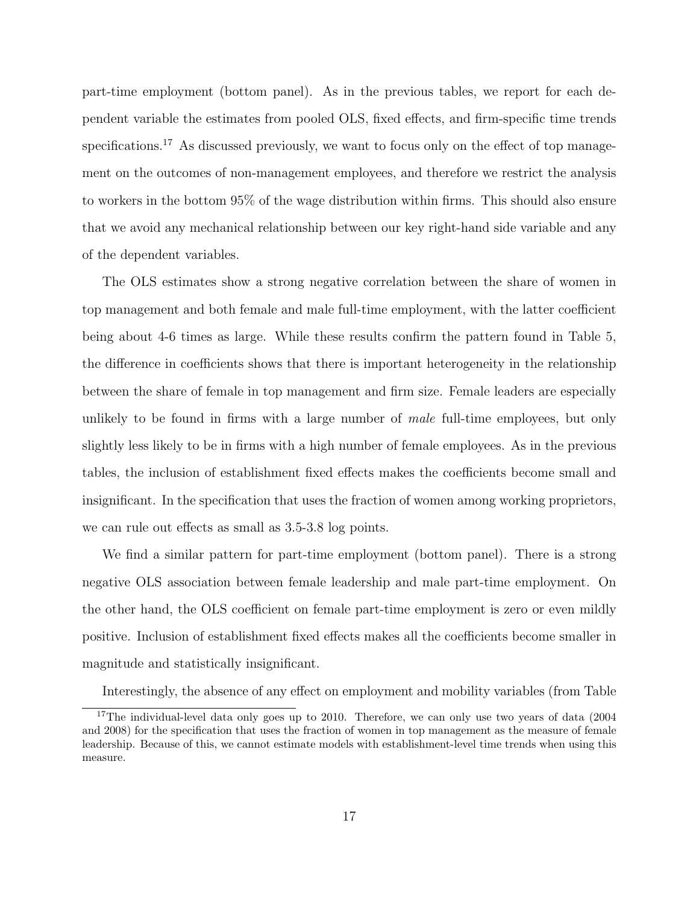part-time employment (bottom panel). As in the previous tables, we report for each dependent variable the estimates from pooled OLS, fixed effects, and firm-specific time trends specifications.<sup>17</sup> As discussed previously, we want to focus only on the effect of top management on the outcomes of non-management employees, and therefore we restrict the analysis to workers in the bottom 95% of the wage distribution within firms. This should also ensure that we avoid any mechanical relationship between our key right-hand side variable and any of the dependent variables.

The OLS estimates show a strong negative correlation between the share of women in top management and both female and male full-time employment, with the latter coefficient being about 4-6 times as large. While these results confirm the pattern found in Table 5, the difference in coefficients shows that there is important heterogeneity in the relationship between the share of female in top management and firm size. Female leaders are especially unlikely to be found in firms with a large number of *male* full-time employees, but only slightly less likely to be in firms with a high number of female employees. As in the previous tables, the inclusion of establishment fixed effects makes the coefficients become small and insignificant. In the specification that uses the fraction of women among working proprietors, we can rule out effects as small as 3.5-3.8 log points.

We find a similar pattern for part-time employment (bottom panel). There is a strong negative OLS association between female leadership and male part-time employment. On the other hand, the OLS coefficient on female part-time employment is zero or even mildly positive. Inclusion of establishment fixed effects makes all the coefficients become smaller in magnitude and statistically insignificant.

Interestingly, the absence of any effect on employment and mobility variables (from Table

<sup>&</sup>lt;sup>17</sup>The individual-level data only goes up to 2010. Therefore, we can only use two years of data (2004) and 2008) for the specification that uses the fraction of women in top management as the measure of female leadership. Because of this, we cannot estimate models with establishment-level time trends when using this measure.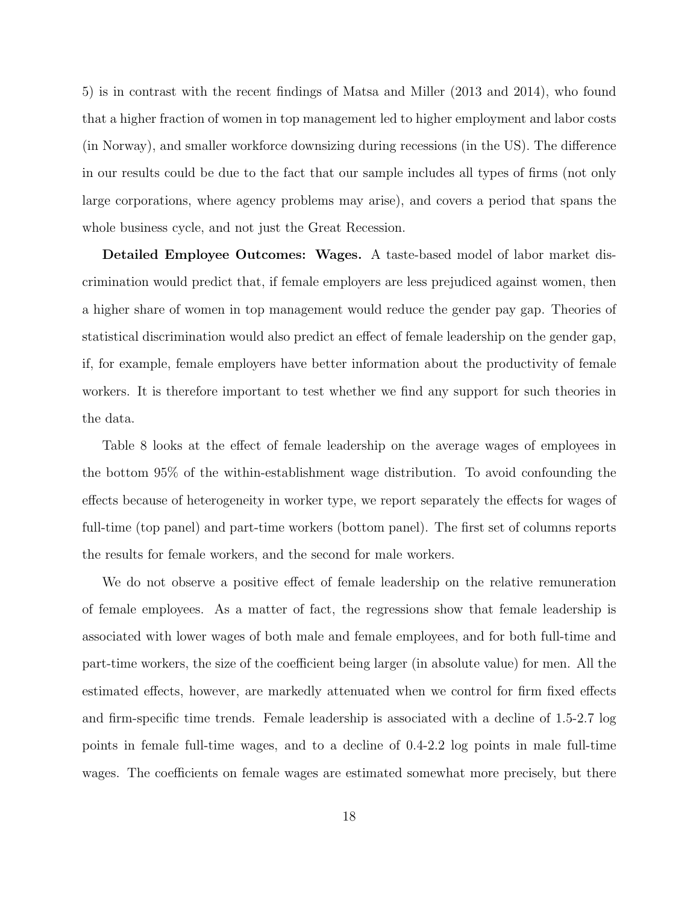5) is in contrast with the recent findings of Matsa and Miller (2013 and 2014), who found that a higher fraction of women in top management led to higher employment and labor costs (in Norway), and smaller workforce downsizing during recessions (in the US). The difference in our results could be due to the fact that our sample includes all types of firms (not only large corporations, where agency problems may arise), and covers a period that spans the whole business cycle, and not just the Great Recession.

Detailed Employee Outcomes: Wages. A taste-based model of labor market discrimination would predict that, if female employers are less prejudiced against women, then a higher share of women in top management would reduce the gender pay gap. Theories of statistical discrimination would also predict an effect of female leadership on the gender gap, if, for example, female employers have better information about the productivity of female workers. It is therefore important to test whether we find any support for such theories in the data.

Table 8 looks at the effect of female leadership on the average wages of employees in the bottom 95% of the within-establishment wage distribution. To avoid confounding the effects because of heterogeneity in worker type, we report separately the effects for wages of full-time (top panel) and part-time workers (bottom panel). The first set of columns reports the results for female workers, and the second for male workers.

We do not observe a positive effect of female leadership on the relative remuneration of female employees. As a matter of fact, the regressions show that female leadership is associated with lower wages of both male and female employees, and for both full-time and part-time workers, the size of the coefficient being larger (in absolute value) for men. All the estimated effects, however, are markedly attenuated when we control for firm fixed effects and firm-specific time trends. Female leadership is associated with a decline of 1.5-2.7 log points in female full-time wages, and to a decline of 0.4-2.2 log points in male full-time wages. The coefficients on female wages are estimated somewhat more precisely, but there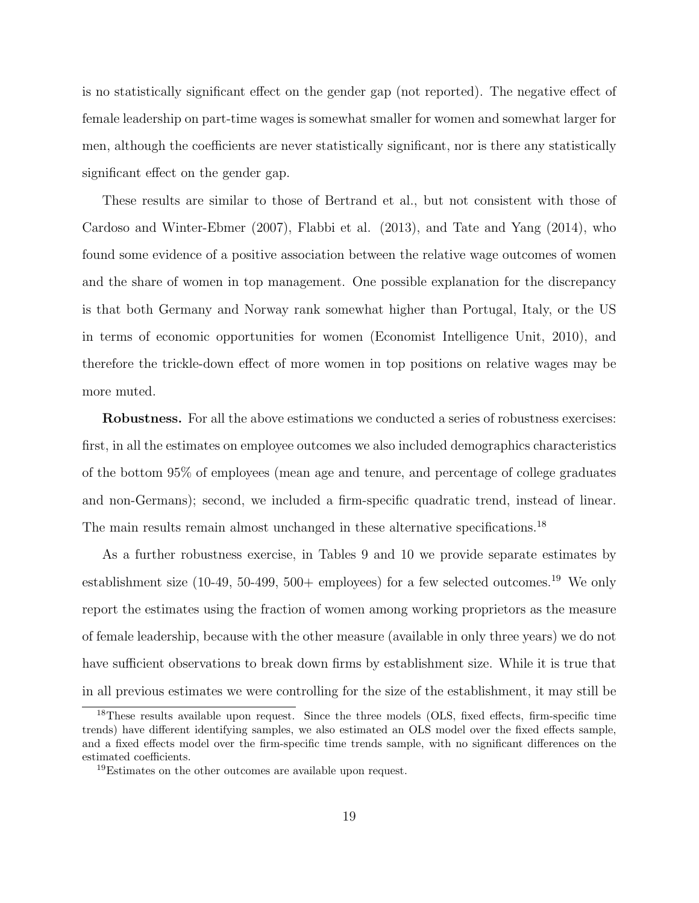is no statistically significant effect on the gender gap (not reported). The negative effect of female leadership on part-time wages is somewhat smaller for women and somewhat larger for men, although the coefficients are never statistically significant, nor is there any statistically significant effect on the gender gap.

These results are similar to those of Bertrand et al., but not consistent with those of Cardoso and Winter-Ebmer (2007), Flabbi et al. (2013), and Tate and Yang (2014), who found some evidence of a positive association between the relative wage outcomes of women and the share of women in top management. One possible explanation for the discrepancy is that both Germany and Norway rank somewhat higher than Portugal, Italy, or the US in terms of economic opportunities for women (Economist Intelligence Unit, 2010), and therefore the trickle-down effect of more women in top positions on relative wages may be more muted.

Robustness. For all the above estimations we conducted a series of robustness exercises: first, in all the estimates on employee outcomes we also included demographics characteristics of the bottom 95% of employees (mean age and tenure, and percentage of college graduates and non-Germans); second, we included a firm-specific quadratic trend, instead of linear. The main results remain almost unchanged in these alternative specifications.<sup>18</sup>

As a further robustness exercise, in Tables 9 and 10 we provide separate estimates by establishment size  $(10-49, 50-499, 500+$  employees) for a few selected outcomes.<sup>19</sup> We only report the estimates using the fraction of women among working proprietors as the measure of female leadership, because with the other measure (available in only three years) we do not have sufficient observations to break down firms by establishment size. While it is true that in all previous estimates we were controlling for the size of the establishment, it may still be

<sup>&</sup>lt;sup>18</sup>These results available upon request. Since the three models (OLS, fixed effects, firm-specific time trends) have different identifying samples, we also estimated an OLS model over the fixed effects sample, and a fixed effects model over the firm-specific time trends sample, with no significant differences on the estimated coefficients.

<sup>19</sup>Estimates on the other outcomes are available upon request.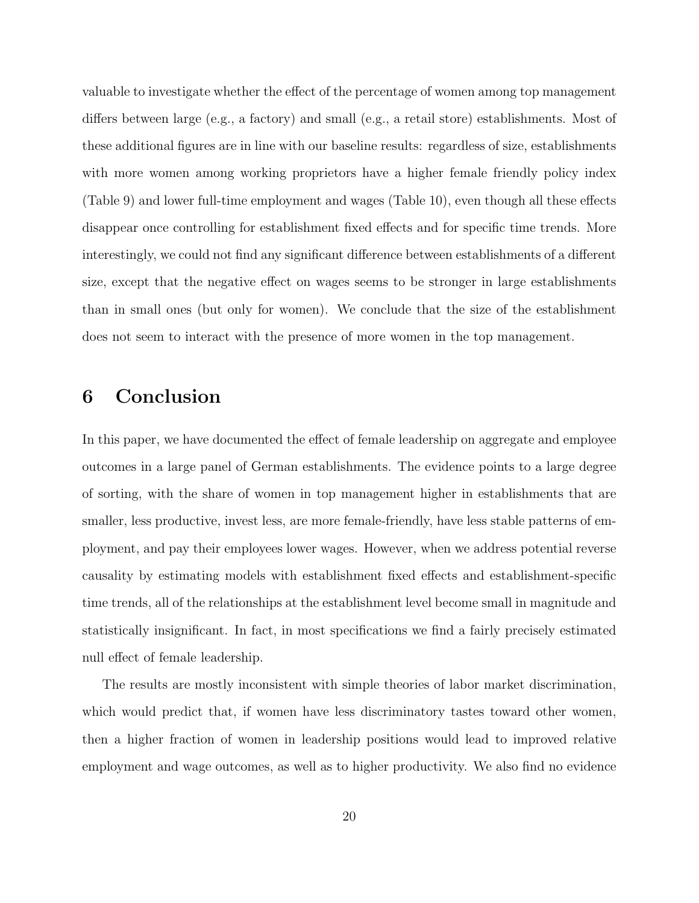valuable to investigate whether the effect of the percentage of women among top management differs between large (e.g., a factory) and small (e.g., a retail store) establishments. Most of these additional figures are in line with our baseline results: regardless of size, establishments with more women among working proprietors have a higher female friendly policy index (Table 9) and lower full-time employment and wages (Table 10), even though all these effects disappear once controlling for establishment fixed effects and for specific time trends. More interestingly, we could not find any significant difference between establishments of a different size, except that the negative effect on wages seems to be stronger in large establishments than in small ones (but only for women). We conclude that the size of the establishment does not seem to interact with the presence of more women in the top management.

# <span id="page-22-0"></span>6 Conclusion

In this paper, we have documented the effect of female leadership on aggregate and employee outcomes in a large panel of German establishments. The evidence points to a large degree of sorting, with the share of women in top management higher in establishments that are smaller, less productive, invest less, are more female-friendly, have less stable patterns of employment, and pay their employees lower wages. However, when we address potential reverse causality by estimating models with establishment fixed effects and establishment-specific time trends, all of the relationships at the establishment level become small in magnitude and statistically insignificant. In fact, in most specifications we find a fairly precisely estimated null effect of female leadership.

The results are mostly inconsistent with simple theories of labor market discrimination, which would predict that, if women have less discriminatory tastes toward other women, then a higher fraction of women in leadership positions would lead to improved relative employment and wage outcomes, as well as to higher productivity. We also find no evidence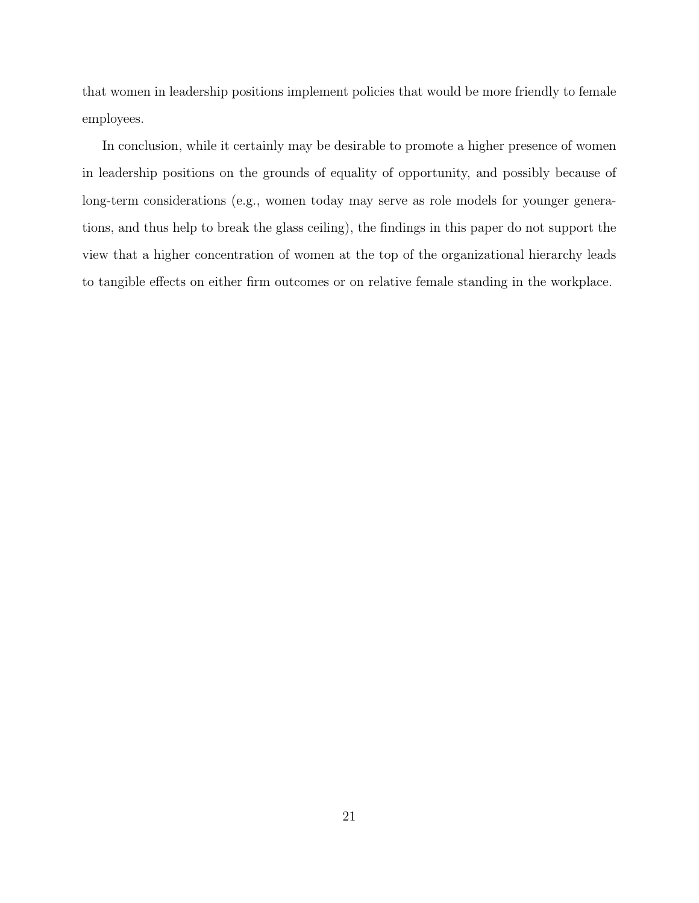that women in leadership positions implement policies that would be more friendly to female employees.

In conclusion, while it certainly may be desirable to promote a higher presence of women in leadership positions on the grounds of equality of opportunity, and possibly because of long-term considerations (e.g., women today may serve as role models for younger generations, and thus help to break the glass ceiling), the findings in this paper do not support the view that a higher concentration of women at the top of the organizational hierarchy leads to tangible effects on either firm outcomes or on relative female standing in the workplace.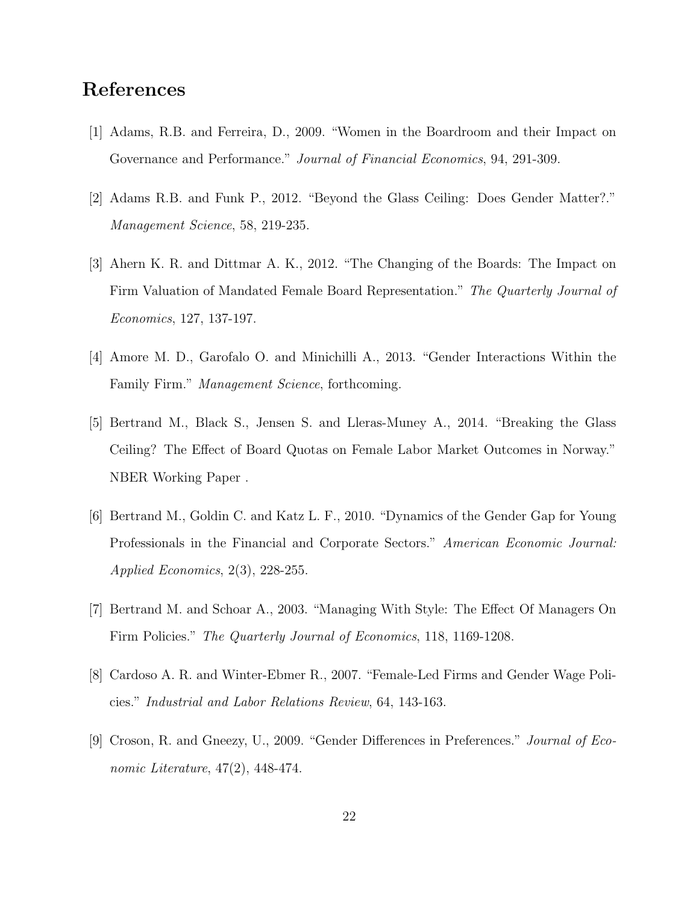# References

- [1] Adams, R.B. and Ferreira, D., 2009. "Women in the Boardroom and their Impact on Governance and Performance." *Journal of Financial Economics*, 94, 291-309.
- [2] Adams R.B. and Funk P., 2012. "Beyond the Glass Ceiling: Does Gender Matter?." Management Science, 58, 219-235.
- [3] Ahern K. R. and Dittmar A. K., 2012. "The Changing of the Boards: The Impact on Firm Valuation of Mandated Female Board Representation." The Quarterly Journal of Economics, 127, 137-197.
- [4] Amore M. D., Garofalo O. and Minichilli A., 2013. "Gender Interactions Within the Family Firm." *Management Science*, forthcoming.
- [5] Bertrand M., Black S., Jensen S. and Lleras-Muney A., 2014. "Breaking the Glass Ceiling? The Effect of Board Quotas on Female Labor Market Outcomes in Norway." NBER Working Paper .
- [6] Bertrand M., Goldin C. and Katz L. F., 2010. "Dynamics of the Gender Gap for Young Professionals in the Financial and Corporate Sectors." American Economic Journal: Applied Economics, 2(3), 228-255.
- [7] Bertrand M. and Schoar A., 2003. "Managing With Style: The Effect Of Managers On Firm Policies." The Quarterly Journal of Economics, 118, 1169-1208.
- [8] Cardoso A. R. and Winter-Ebmer R., 2007. "Female-Led Firms and Gender Wage Policies." Industrial and Labor Relations Review, 64, 143-163.
- [9] Croson, R. and Gneezy, U., 2009. "Gender Differences in Preferences." Journal of Economic Literature, 47(2), 448-474.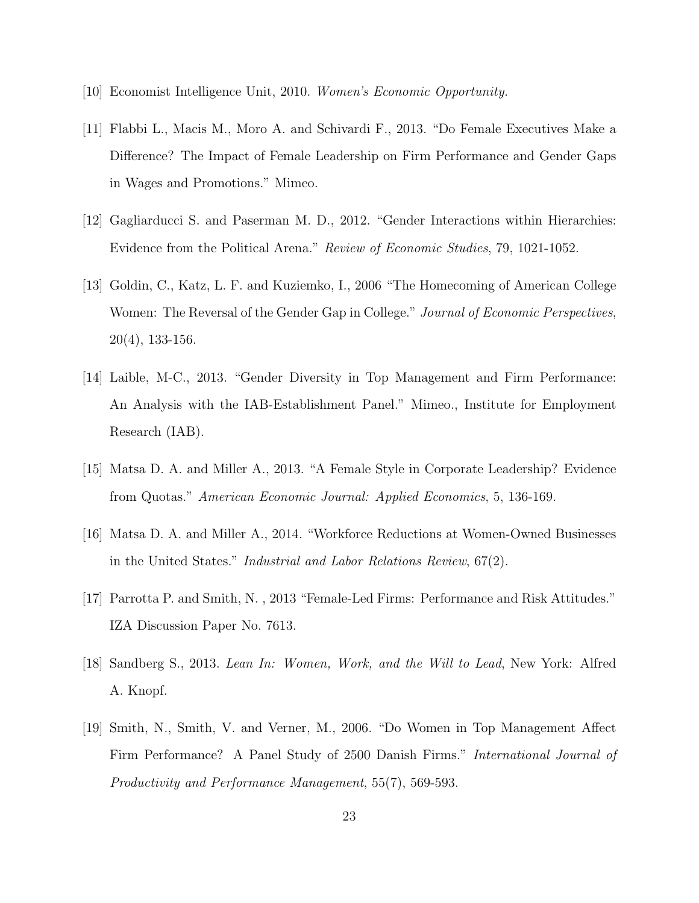- [10] Economist Intelligence Unit, 2010. Women's Economic Opportunity.
- [11] Flabbi L., Macis M., Moro A. and Schivardi F., 2013. "Do Female Executives Make a Difference? The Impact of Female Leadership on Firm Performance and Gender Gaps in Wages and Promotions." Mimeo.
- [12] Gagliarducci S. and Paserman M. D., 2012. "Gender Interactions within Hierarchies: Evidence from the Political Arena." Review of Economic Studies, 79, 1021-1052.
- [13] Goldin, C., Katz, L. F. and Kuziemko, I., 2006 "The Homecoming of American College Women: The Reversal of the Gender Gap in College." Journal of Economic Perspectives, 20(4), 133-156.
- [14] Laible, M-C., 2013. "Gender Diversity in Top Management and Firm Performance: An Analysis with the IAB-Establishment Panel." Mimeo., Institute for Employment Research (IAB).
- [15] Matsa D. A. and Miller A., 2013. "A Female Style in Corporate Leadership? Evidence from Quotas." American Economic Journal: Applied Economics, 5, 136-169.
- [16] Matsa D. A. and Miller A., 2014. "Workforce Reductions at Women-Owned Businesses in the United States." Industrial and Labor Relations Review, 67(2).
- [17] Parrotta P. and Smith, N. , 2013 "Female-Led Firms: Performance and Risk Attitudes." IZA Discussion Paper No. 7613.
- [18] Sandberg S., 2013. Lean In: Women, Work, and the Will to Lead, New York: Alfred A. Knopf.
- [19] Smith, N., Smith, V. and Verner, M., 2006. "Do Women in Top Management Affect Firm Performance? A Panel Study of 2500 Danish Firms." International Journal of Productivity and Performance Management, 55(7), 569-593.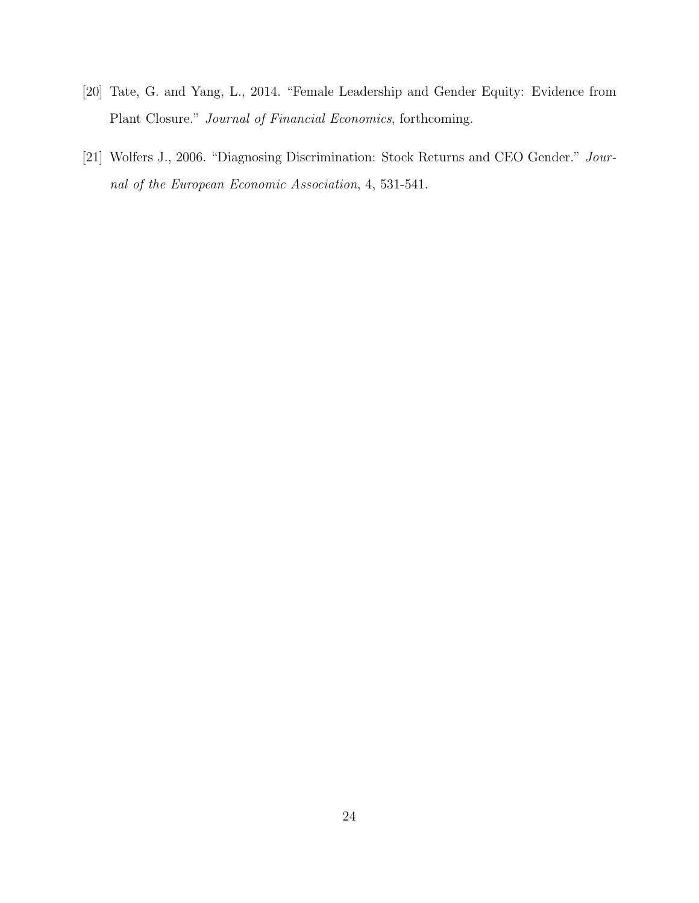- [20] Tate, G. and Yang, L., 2014. "Female Leadership and Gender Equity: Evidence from Plant Closure." Journal of Financial Economics, forthcoming.
- [21] Wolfers J., 2006. "Diagnosing Discrimination: Stock Returns and CEO Gender." Journal of the European Economic Association, 4, 531-541.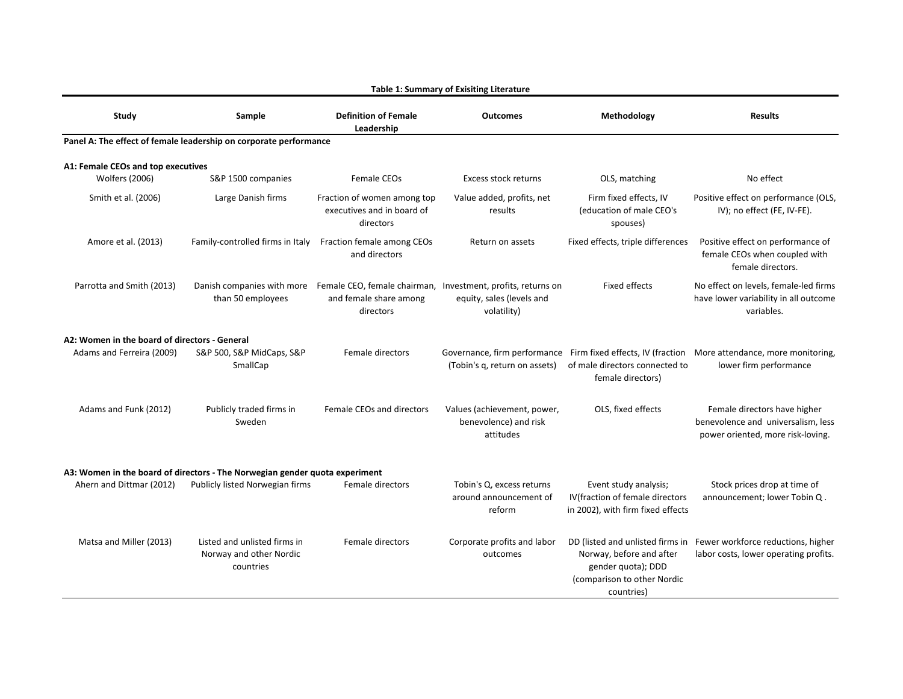| Study                                                       | Sample                                                                      | <b>Definition of Female</b><br>Leadership                              | <b>Outcomes</b>                                                                                                                     | Methodology                                                                                   | <b>Results</b>                                                                                                            |
|-------------------------------------------------------------|-----------------------------------------------------------------------------|------------------------------------------------------------------------|-------------------------------------------------------------------------------------------------------------------------------------|-----------------------------------------------------------------------------------------------|---------------------------------------------------------------------------------------------------------------------------|
|                                                             | Panel A: The effect of female leadership on corporate performance           |                                                                        |                                                                                                                                     |                                                                                               |                                                                                                                           |
| A1: Female CEOs and top executives<br><b>Wolfers (2006)</b> | S&P 1500 companies                                                          | Female CEOs                                                            | Excess stock returns                                                                                                                | OLS, matching                                                                                 | No effect                                                                                                                 |
| Smith et al. (2006)                                         | Large Danish firms                                                          | Fraction of women among top<br>executives and in board of<br>directors | Value added, profits, net<br>results                                                                                                | Firm fixed effects, IV<br>(education of male CEO's<br>spouses)                                | Positive effect on performance (OLS,<br>IV); no effect (FE, IV-FE).                                                       |
| Amore et al. (2013)                                         | Family-controlled firms in Italy                                            | Fraction female among CEOs<br>and directors                            | Return on assets                                                                                                                    | Fixed effects, triple differences                                                             | Positive effect on performance of<br>female CEOs when coupled with<br>female directors.                                   |
| Parrotta and Smith (2013)                                   | than 50 employees                                                           | and female share among<br>directors                                    | Danish companies with more Female CEO, female chairman, Investment, profits, returns on<br>equity, sales (levels and<br>volatility) | <b>Fixed effects</b>                                                                          | No effect on levels, female-led firms<br>have lower variability in all outcome<br>variables.                              |
| A2: Women in the board of directors - General               |                                                                             |                                                                        |                                                                                                                                     |                                                                                               |                                                                                                                           |
| Adams and Ferreira (2009)                                   | S&P 500, S&P MidCaps, S&P<br>SmallCap                                       | Female directors                                                       | (Tobin's q, return on assets)                                                                                                       | of male directors connected to<br>female directors)                                           | Governance, firm performance Firm fixed effects, IV (fraction More attendance, more monitoring,<br>lower firm performance |
| Adams and Funk (2012)                                       | Publicly traded firms in<br>Sweden                                          | Female CEOs and directors                                              | Values (achievement, power,<br>benevolence) and risk<br>attitudes                                                                   | OLS, fixed effects                                                                            | Female directors have higher<br>benevolence and universalism, less<br>power oriented, more risk-loving.                   |
|                                                             | A3: Women in the board of directors - The Norwegian gender quota experiment |                                                                        |                                                                                                                                     |                                                                                               |                                                                                                                           |
| Ahern and Dittmar (2012)                                    | Publicly listed Norwegian firms                                             | Female directors                                                       | Tobin's Q, excess returns<br>around announcement of<br>reform                                                                       | Event study analysis;<br>IV(fraction of female directors<br>in 2002), with firm fixed effects | Stock prices drop at time of<br>announcement; lower Tobin Q.                                                              |
| Matsa and Miller (2013)                                     | Listed and unlisted firms in<br>Norway and other Nordic<br>countries        | Female directors                                                       | Corporate profits and labor<br>outcomes                                                                                             | Norway, before and after<br>gender quota); DDD<br>(comparison to other Nordic<br>countries)   | DD (listed and unlisted firms in Fewer workforce reductions, higher<br>labor costs, lower operating profits.              |

**Table 1: Summary of Exisiting Literature**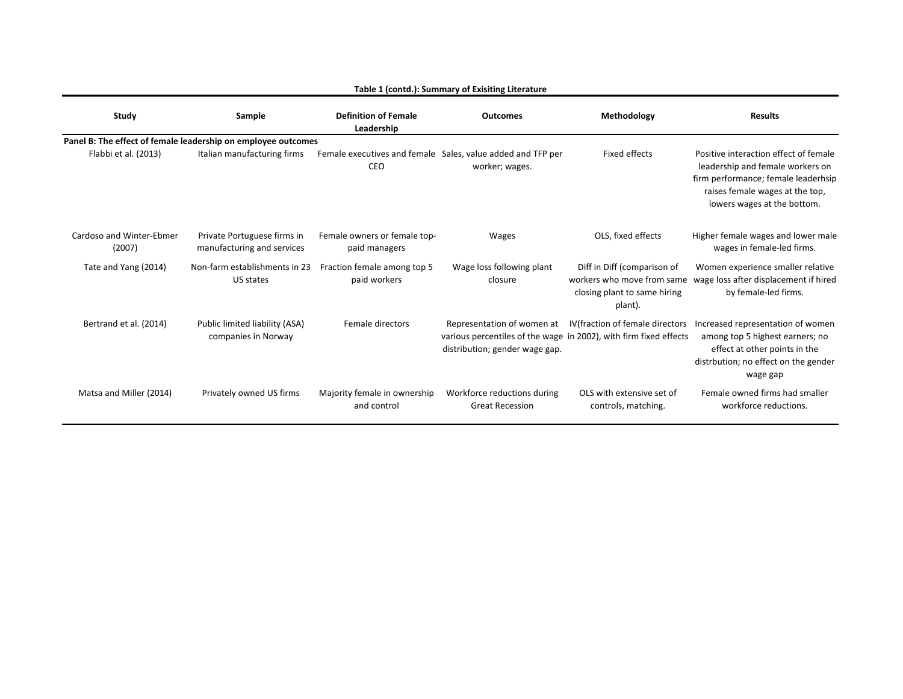| Study                              | Sample                                                        | <b>Definition of Female</b><br>Leadership     | <b>Outcomes</b>                                                                                                                   | Methodology                                                                                          | <b>Results</b>                                                                                                                                                                     |
|------------------------------------|---------------------------------------------------------------|-----------------------------------------------|-----------------------------------------------------------------------------------------------------------------------------------|------------------------------------------------------------------------------------------------------|------------------------------------------------------------------------------------------------------------------------------------------------------------------------------------|
|                                    | Panel B: The effect of female leadership on employee outcomes |                                               |                                                                                                                                   |                                                                                                      |                                                                                                                                                                                    |
| Flabbi et al. (2013)               | Italian manufacturing firms                                   | CEO                                           | Female executives and female Sales, value added and TFP per<br>worker; wages.                                                     | Fixed effects                                                                                        | Positive interaction effect of female<br>leadership and female workers on<br>firm performance; female leaderhsip<br>raises female wages at the top,<br>lowers wages at the bottom. |
| Cardoso and Winter-Ebmer<br>(2007) | Private Portuguese firms in<br>manufacturing and services     | Female owners or female top-<br>paid managers | <b>Wages</b>                                                                                                                      | OLS, fixed effects                                                                                   | Higher female wages and lower male<br>wages in female-led firms.                                                                                                                   |
| Tate and Yang (2014)               | Non-farm establishments in 23<br>US states                    | Fraction female among top 5<br>paid workers   | Wage loss following plant<br>closure                                                                                              | Diff in Diff (comparison of<br>workers who move from same<br>closing plant to same hiring<br>plant). | Women experience smaller relative<br>wage loss after displacement if hired<br>by female-led firms.                                                                                 |
| Bertrand et al. (2014)             | Public limited liability (ASA)<br>companies in Norway         | Female directors                              | Representation of women at<br>various percentiles of the wage in 2002), with firm fixed effects<br>distribution; gender wage gap. | IV (fraction of female directors                                                                     | Increased representation of women<br>among top 5 highest earners; no<br>effect at other points in the<br>distrbution; no effect on the gender<br>wage gap                          |
| Matsa and Miller (2014)            | Privately owned US firms                                      | Majority female in ownership<br>and control   | Workforce reductions during<br><b>Great Recession</b>                                                                             | OLS with extensive set of<br>controls, matching.                                                     | Female owned firms had smaller<br>workforce reductions.                                                                                                                            |

#### **Table 1 (contd.): Summary of Exisiting Literature**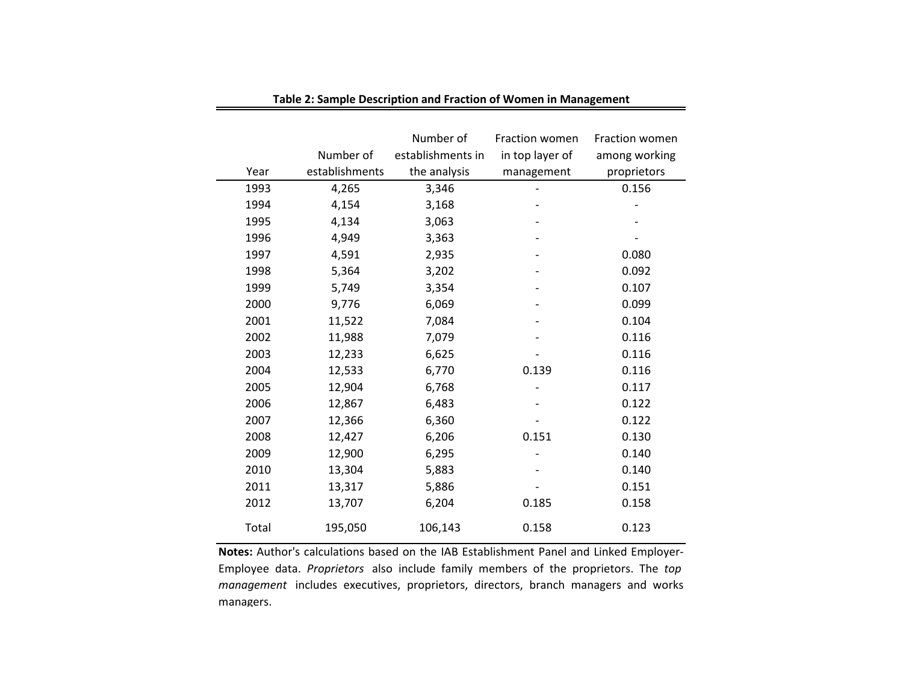|       |                | Number of         | Fraction women  | Fraction women |
|-------|----------------|-------------------|-----------------|----------------|
|       | Number of      | establishments in | in top layer of | among working  |
| Year  | establishments | the analysis      | management      | proprietors    |
| 1993  | 4,265          | 3,346             |                 | 0.156          |
| 1994  | 4,154          | 3,168             |                 |                |
| 1995  | 4,134          | 3,063             |                 |                |
| 1996  | 4,949          | 3,363             |                 |                |
| 1997  | 4,591          | 2,935             |                 | 0.080          |
| 1998  | 5,364          | 3,202             |                 | 0.092          |
| 1999  | 5,749          | 3,354             |                 | 0.107          |
| 2000  | 9,776          | 6,069             |                 | 0.099          |
| 2001  | 11,522         | 7,084             |                 | 0.104          |
| 2002  | 11,988         | 7,079             |                 | 0.116          |
| 2003  | 12,233         | 6,625             |                 | 0.116          |
| 2004  | 12,533         | 6,770             | 0.139           | 0.116          |
| 2005  | 12,904         | 6,768             |                 | 0.117          |
| 2006  | 12,867         | 6,483             |                 | 0.122          |
| 2007  | 12,366         | 6,360             |                 | 0.122          |
| 2008  | 12,427         | 6,206             | 0.151           | 0.130          |
| 2009  | 12,900         | 6,295             |                 | 0.140          |
| 2010  | 13,304         | 5,883             |                 | 0.140          |
| 2011  | 13,317         | 5,886             |                 | 0.151          |
| 2012  | 13,707         | 6,204             | 0.185           | 0.158          |
| Total | 195,050        | 106,143           | 0.158           | 0.123          |

**Table 2: Sample Description and Fraction of Women in Management**

**Notes:** Author's calculations based on the IAB Establishment Panel and Linked Employer-Employee data. *Proprietors* also include family members of the proprietors. The *top management* includes executives, proprietors, directors, branch managers and works managers.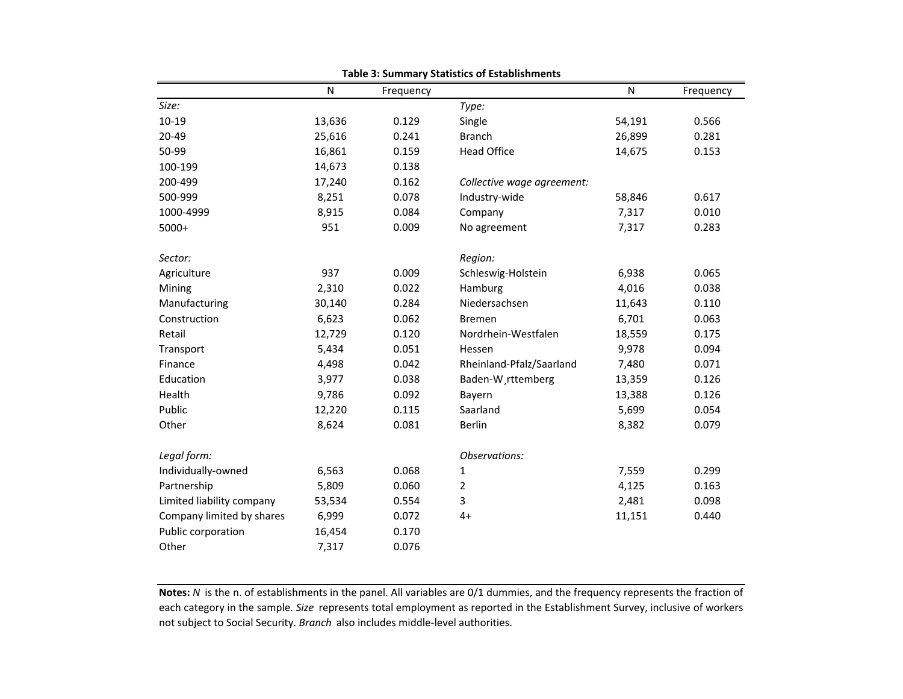|                           | N      | Frequency |                            | N      | Frequency |
|---------------------------|--------|-----------|----------------------------|--------|-----------|
| Size:                     |        |           | Type:                      |        |           |
| 10-19                     | 13,636 | 0.129     | Single                     | 54,191 | 0.566     |
| 20-49                     | 25,616 | 0.241     | <b>Branch</b>              | 26,899 | 0.281     |
| 50-99                     | 16,861 | 0.159     | <b>Head Office</b>         | 14,675 | 0.153     |
| 100-199                   | 14,673 | 0.138     |                            |        |           |
| 200-499                   | 17,240 | 0.162     | Collective wage agreement: |        |           |
| 500-999                   | 8,251  | 0.078     | Industry-wide              | 58,846 | 0.617     |
| 1000-4999                 | 8,915  | 0.084     | Company                    | 7,317  | 0.010     |
| $5000+$                   | 951    | 0.009     | No agreement               | 7,317  | 0.283     |
| Sector:                   |        |           | Region:                    |        |           |
| Agriculture               | 937    | 0.009     | Schleswig-Holstein         | 6,938  | 0.065     |
| Mining                    | 2,310  | 0.022     | Hamburg                    | 4,016  | 0.038     |
| Manufacturing             | 30,140 | 0.284     | Niedersachsen              | 11,643 | 0.110     |
| Construction              | 6,623  | 0.062     | <b>Bremen</b>              | 6,701  | 0.063     |
| Retail                    | 12,729 | 0.120     | Nordrhein-Westfalen        | 18,559 | 0.175     |
| Transport                 | 5,434  | 0.051     | Hessen                     | 9,978  | 0.094     |
| Finance                   | 4,498  | 0.042     | Rheinland-Pfalz/Saarland   | 7,480  | 0.071     |
| Education                 | 3,977  | 0.038     | Baden-W rttemberg          | 13,359 | 0.126     |
| Health                    | 9,786  | 0.092     | Bayern                     | 13,388 | 0.126     |
| Public                    | 12,220 | 0.115     | Saarland                   | 5,699  | 0.054     |
| Other                     | 8,624  | 0.081     | Berlin                     | 8,382  | 0.079     |
| Legal form:               |        |           | Observations:              |        |           |
| Individually-owned        | 6,563  | 0.068     | 1                          | 7,559  | 0.299     |
| Partnership               | 5,809  | 0.060     | 2                          | 4,125  | 0.163     |
| Limited liability company | 53,534 | 0.554     | 3                          | 2,481  | 0.098     |
| Company limited by shares | 6,999  | 0.072     | $4+$                       | 11,151 | 0.440     |
| Public corporation        | 16,454 | 0.170     |                            |        |           |
| Other                     | 7,317  | 0.076     |                            |        |           |

**Table 3: Summary Statistics of Establishments**

**Notes:** *N* is the n. of establishments in the panel. All variables are 0/1 dummies, and the frequency represents the fraction of each category in the sample. *Size* represents total employment as reported in the Establishment Survey, inclusive of workers not subject to Social Security. *Branch* also includes middle-level authorities.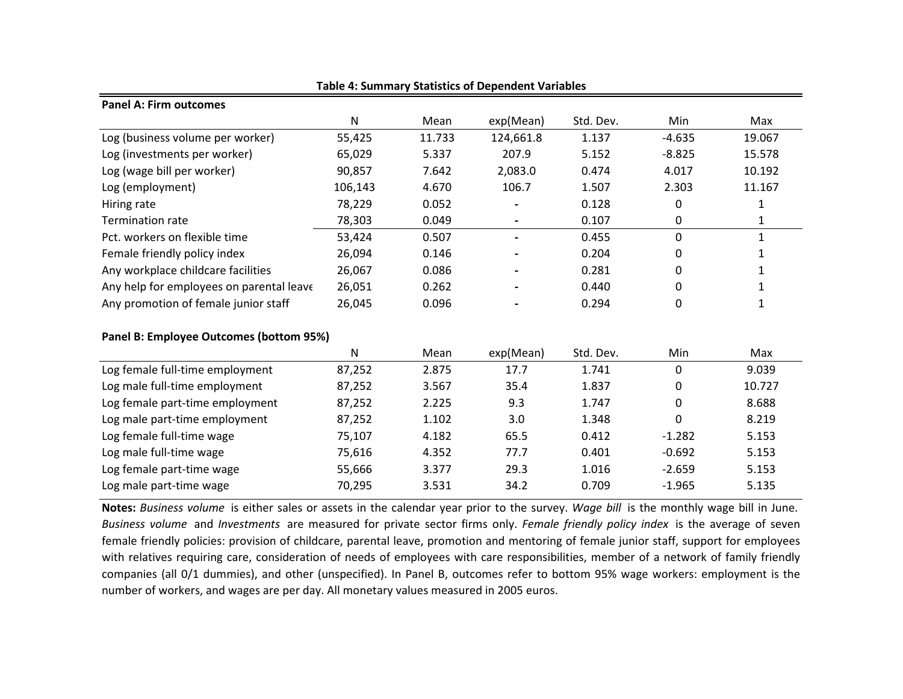| <b>Panel A: Firm outcomes</b>            |              |        |                          |           |                |              |
|------------------------------------------|--------------|--------|--------------------------|-----------|----------------|--------------|
|                                          | $\mathsf{N}$ | Mean   | exp(Mean)                | Std. Dev. | Min            | Max          |
| Log (business volume per worker)         | 55,425       | 11.733 | 124,661.8                | 1.137     | $-4.635$       | 19.067       |
| Log (investments per worker)             | 65,029       | 5.337  | 207.9                    | 5.152     | $-8.825$       | 15.578       |
| Log (wage bill per worker)               | 90,857       | 7.642  | 2,083.0                  | 0.474     | 4.017          | 10.192       |
| Log (employment)                         | 106,143      | 4.670  | 106.7                    | 1.507     | 2.303          | 11.167       |
| Hiring rate                              | 78,229       | 0.052  |                          | 0.128     | 0              | $\mathbf{1}$ |
| <b>Termination rate</b>                  | 78,303       | 0.049  | $\overline{\phantom{a}}$ | 0.107     | 0              | 1            |
| Pct. workers on flexible time            | 53,424       | 0.507  | $\blacksquare$           | 0.455     | 0              | $\mathbf{1}$ |
| Female friendly policy index             | 26,094       | 0.146  |                          | 0.204     | 0              | $\mathbf{1}$ |
| Any workplace childcare facilities       | 26,067       | 0.086  |                          | 0.281     | 0              | 1            |
| Any help for employees on parental leave | 26,051       | 0.262  |                          | 0.440     | 0              | 1            |
| Any promotion of female junior staff     | 26,045       | 0.096  |                          | 0.294     | $\Omega$       | 1            |
| Panel B: Employee Outcomes (bottom 95%)  |              |        |                          |           |                |              |
|                                          | $\mathsf{N}$ | Mean   | exp(Mean)                | Std. Dev. | Min            | Max          |
| Log female full-time employment          | 87,252       | 2.875  | 17.7                     | 1.741     | 0              | 9.039        |
| Log male full-time employment            | 87,252       | 3.567  | 35.4                     | 1.837     | 0              | 10.727       |
| Log female part-time employment          | 87,252       | 2.225  | 9.3                      | 1.747     | $\Omega$       | 8.688        |
| Log male part-time employment            | 87,252       | 1.102  | 3.0                      | 1.348     | $\overline{0}$ | 8.219        |
| Log female full-time wage                | 75,107       | 4.182  | 65.5                     | 0.412     | $-1.282$       | 5.153        |
| Log male full-time wage                  | 75,616       | 4.352  | 77.7                     | 0.401     | $-0.692$       | 5.153        |
| Log female part-time wage                | 55,666       | 3.377  | 29.3                     | 1.016     | $-2.659$       | 5.153        |
| Log male part-time wage                  | 70,295       | 3.531  | 34.2                     | 0.709     | $-1.965$       | 5.135        |

**Table 4: Summary Statistics of Dependent Variables**

**Notes:** *Business volume* is either sales or assets in the calendar year prior to the survey. *Wage bill* is the monthly wage bill in June. *Business volume* and *Investments* are measured for private sector firms only. *Female friendly policy index* is the average of seven female friendly policies: provision of childcare, parental leave, promotion and mentoring of female junior staff, support for employees with relatives requiring care, consideration of needs of employees with care responsibilities, member of a network of family friendly companies (all 0/1 dummies), and other (unspecified). In Panel B, outcomes refer to bottom 95% wage workers: employment is the number of workers, and wages are per day. All monetary values measured in 2005 euros.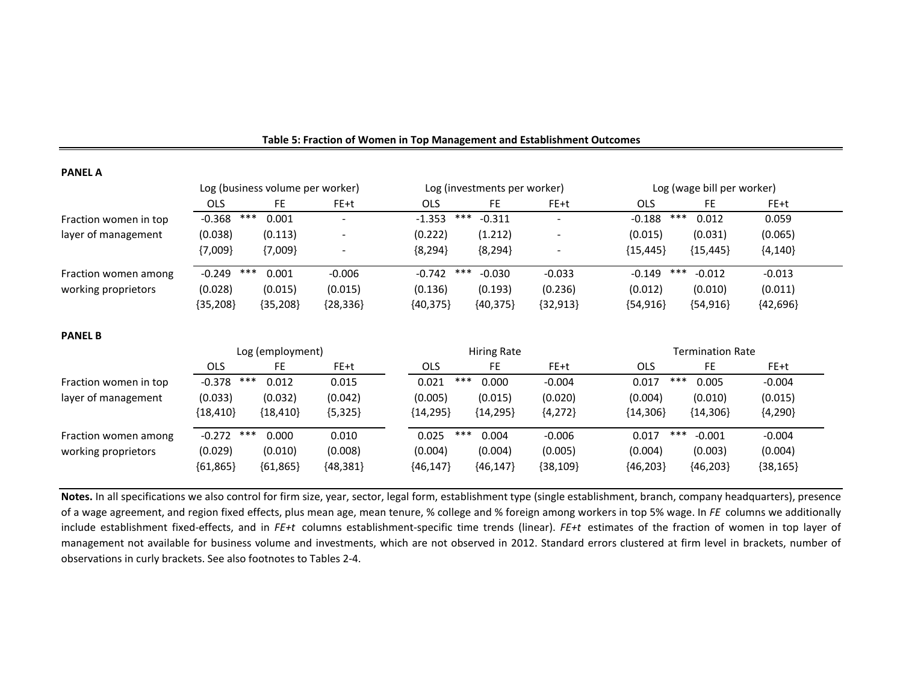| <b>PANEL A</b>        |                                  |                  |            |                    |                              |            |                 |                            |            |  |
|-----------------------|----------------------------------|------------------|------------|--------------------|------------------------------|------------|-----------------|----------------------------|------------|--|
|                       | Log (business volume per worker) |                  |            |                    | Log (investments per worker) |            |                 | Log (wage bill per worker) |            |  |
|                       | <b>OLS</b>                       | FE               | FE+t       | <b>OLS</b>         | FE.                          | FE+t       | OLS             | FE                         | FE+t       |  |
| Fraction women in top | $***$<br>$-0.368$                | 0.001            |            | $-1.353$           | ***<br>$-0.311$              |            | ***<br>$-0.188$ | 0.012                      | 0.059      |  |
| layer of management   | (0.038)                          | (0.113)          |            | (0.222)            | (1.212)                      |            | (0.015)         | (0.031)                    | (0.065)    |  |
|                       | ${7,009}$                        | ${7,009}$        |            | ${8,294}$          | ${8,294}$                    |            | ${15,445}$      | ${15,445}$                 | ${4,140}$  |  |
| Fraction women among  | $***$<br>$-0.249$                | 0.001            | $-0.006$   | $-0.742$           | ***<br>$-0.030$              | $-0.033$   | ***<br>$-0.149$ | $-0.012$                   | $-0.013$   |  |
| working proprietors   | (0.028)                          | (0.015)          | (0.015)    | (0.136)            | (0.193)                      | (0.236)    | (0.012)         | (0.010)                    | (0.011)    |  |
|                       | ${35,208}$                       | ${35,208}$       | ${28,336}$ | ${40,375}$         | ${40,375}$                   | ${32,913}$ | ${54,916}$      | ${54,916}$                 | ${42,696}$ |  |
| <b>PANEL B</b>        |                                  |                  |            |                    |                              |            |                 |                            |            |  |
|                       |                                  | Log (employment) |            | <b>Hiring Rate</b> |                              |            |                 | <b>Termination Rate</b>    |            |  |
|                       | OLS                              | <b>FE</b>        | FE+t       | <b>OLS</b>         | FE.                          | FE+t       | <b>OLS</b>      | FE                         | FE+t       |  |
| Fraction women in top | $***$<br>$-0.378$                | 0.012            | 0.015      | 0.021              | $***$<br>0.000               | $-0.004$   | $***$<br>0.017  | 0.005                      | $-0.004$   |  |
| layer of management   | (0.033)                          | (0.032)          | (0.042)    | (0.005)            | (0.015)                      | (0.020)    | (0.004)         | (0.010)                    | (0.015)    |  |
|                       | ${18,410}$                       | ${18,410}$       | ${5,325}$  | ${14,295}$         | ${14,295}$                   | ${4,272}$  | ${14,306}$      | ${14,306}$                 | ${4,290}$  |  |
| Fraction women among  | $-0.272$ ***                     | 0.000            | 0.010      | 0.025              | ***<br>0.004                 | $-0.006$   | ***<br>0.017    | $-0.001$                   | $-0.004$   |  |
| working proprietors   | (0.029)                          | (0.010)          | (0.008)    | (0.004)            | (0.004)                      | (0.005)    | (0.004)         | (0.003)                    | (0.004)    |  |
|                       | ${61,865}$                       | ${61,865}$       | ${48,381}$ | ${46,147}$         | ${46,147}$                   | ${38,109}$ | ${46,203}$      | ${46,203}$                 | ${38,165}$ |  |

#### **Table 5: Fraction of Women in Top Management and Establishment Outcomes**

**Notes.** In all specifications we also control for firm size, year, sector, legal form, establishment type (single establishment, branch, company headquarters), presence of a wage agreement, and region fixed effects, plus mean age, mean tenure, % college and % foreign among workers in top 5% wage. In *FE* columns we additionally include establishment fixed-effects, and in *FE+t* columns establishment-specific time trends (linear). *FE+t* estimates of the fraction of women in top layer of management not available for business volume and investments, which are not observed in 2012. Standard errors clustered at firm level in brackets, number of observations in curly brackets. See also footnotes to Tables 2-4.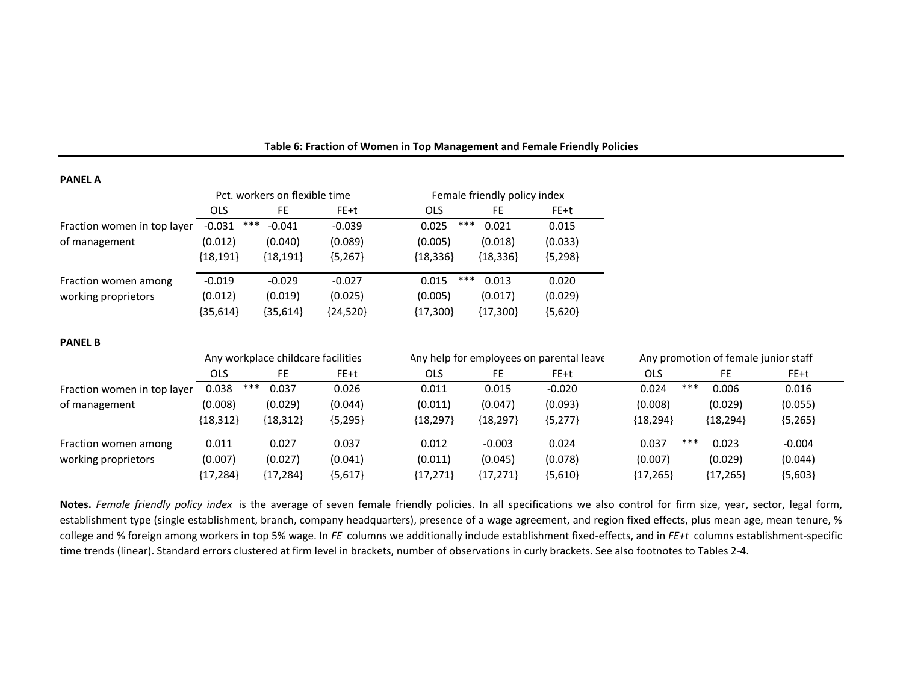| . <sub>m</sub> .            |            |                               |            |                              |           |  |  |  |  |
|-----------------------------|------------|-------------------------------|------------|------------------------------|-----------|--|--|--|--|
|                             |            | Pct. workers on flexible time |            | Female friendly policy index |           |  |  |  |  |
|                             | <b>OLS</b> | FE.                           | FE+t       | <b>OLS</b><br>FE.            | FE+t      |  |  |  |  |
| Fraction women in top layer | $-0.031$   | ***<br>$-0.041$               | $-0.039$   | ***<br>0.025<br>0.021        | 0.015     |  |  |  |  |
| of management               | (0.012)    | (0.040)                       | (0.089)    | (0.005)<br>(0.018)           | (0.033)   |  |  |  |  |
|                             | ${18,191}$ | ${18,191}$                    | ${5,267}$  | ${18,336}$<br>${18,336}$     | ${5,298}$ |  |  |  |  |
| Fraction women among        | $-0.019$   | $-0.029$                      | $-0.027$   | ***<br>0.013<br>0.015        | 0.020     |  |  |  |  |
| working proprietors         | (0.012)    | (0.019)                       | (0.025)    | (0.005)<br>(0.017)           | (0.029)   |  |  |  |  |
|                             | ${35,614}$ | {35,614}                      | ${24,520}$ | ${17,300}$<br>${17,300}$     | ${5,620}$ |  |  |  |  |
|                             |            |                               |            |                              |           |  |  |  |  |
|                             |            |                               |            |                              |           |  |  |  |  |

#### **Table 6: Fraction of Women in Top Management and Female Friendly Policies**

#### **PANEL B**

|                             |              | Any workplace childcare facilities |           |            |            | Any help for employees on parental leave | Any promotion of female junior staff |            |           |
|-----------------------------|--------------|------------------------------------|-----------|------------|------------|------------------------------------------|--------------------------------------|------------|-----------|
|                             | <b>OLS</b>   | FE                                 | FE+t      | <b>OLS</b> | FE.        | FE+t                                     | <b>OLS</b>                           | FE         | FE+t      |
| Fraction women in top layer | ***<br>0.038 | 0.037                              | 0.026     | 0.011      | 0.015      | $-0.020$                                 | ***<br>0.024                         | 0.006      | 0.016     |
| of management               | (0.008)      | (0.029)                            | (0.044)   | (0.011)    | (0.047)    | (0.093)                                  | (0.008)                              | (0.029)    | (0.055)   |
|                             | ${18,312}$   | ${18,312}$                         | ${5,295}$ | ${18,297}$ | ${18,297}$ | ${5,277}$                                | ${18,294}$                           | ${18,294}$ | ${5,265}$ |
| Fraction women among        | 0.011        | 0.027                              | 0.037     | 0.012      | $-0.003$   | 0.024                                    | ***<br>0.037                         | 0.023      | $-0.004$  |
| working proprietors         | (0.007)      | (0.027)                            | (0.041)   | (0.011)    | (0.045)    | (0.078)                                  | (0.007)                              | (0.029)    | (0.044)   |
|                             | ${17,284}$   | ${17,284}$                         | ${5,617}$ | ${17,271}$ | ${17,271}$ | ${5,610}$                                | ${17,265}$                           | ${17,265}$ | ${5,603}$ |

**Notes.** *Female friendly policy index* is the average of seven female friendly policies. In all specifications we also control for firm size, year, sector, legal form, establishment type (single establishment, branch, company headquarters), presence of a wage agreement, and region fixed effects, plus mean age, mean tenure, % college and % foreign among workers in top 5% wage. In *FE* columns we additionally include establishment fixed-effects, and in *FE+t* columns establishment-specific time trends (linear). Standard errors clustered at firm level in brackets, number of observations in curly brackets. See also footnotes to Tables 2-4.

#### **PANEL A**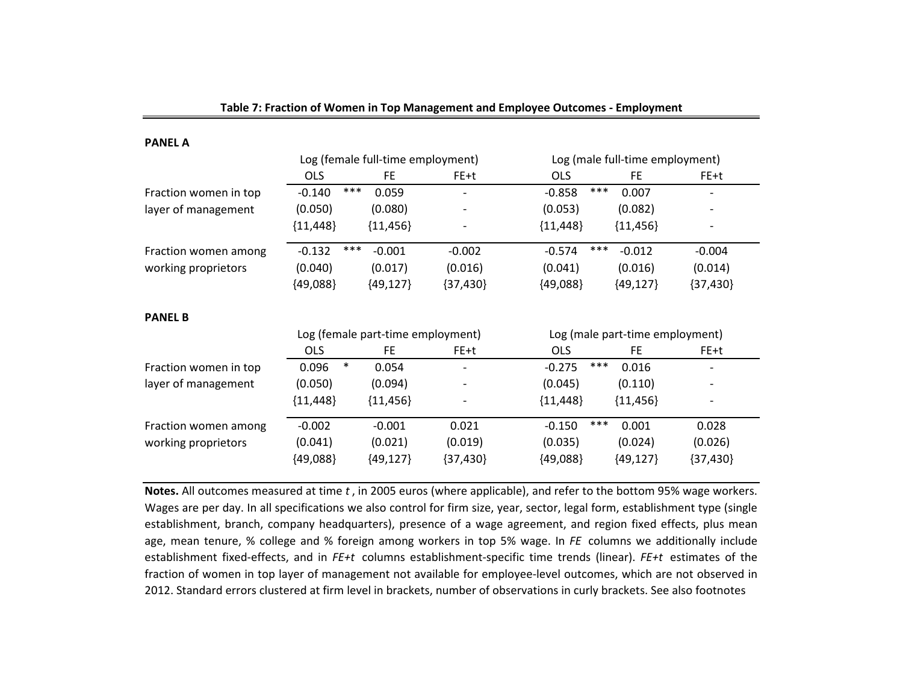| <b>PANEL A</b>        |                 |                                   |            |                                 |            |  |  |
|-----------------------|-----------------|-----------------------------------|------------|---------------------------------|------------|--|--|
|                       |                 | Log (female full-time employment) |            | Log (male full-time employment) |            |  |  |
|                       | <b>OLS</b>      | FE.                               | FE+t       | <b>OLS</b><br><b>FE</b>         | FE+t       |  |  |
| Fraction women in top | ***<br>$-0.140$ | 0.059                             |            | ***<br>$-0.858$<br>0.007        |            |  |  |
| layer of management   | (0.050)         | (0.080)                           |            | (0.053)<br>(0.082)              |            |  |  |
|                       | ${11,448}$      | ${11,456}$                        |            | ${11,448}$<br>${11,456}$        |            |  |  |
| Fraction women among  | ***<br>$-0.132$ | $-0.001$                          | $-0.002$   | ***<br>$-0.012$<br>$-0.574$     | $-0.004$   |  |  |
| working proprietors   | (0.040)         | (0.017)                           | (0.016)    | (0.041)<br>(0.016)              | (0.014)    |  |  |
|                       | ${49,088}$      | ${49,127}$                        | ${37,430}$ | ${49,088}$<br>${49,127}$        | ${37,430}$ |  |  |
| <b>PANEL B</b>        |                 |                                   |            |                                 |            |  |  |
|                       |                 | Log (female part-time employment) |            | Log (male part-time employment) |            |  |  |
|                       | <b>OLS</b>      | FE.                               | FE+t       | <b>OLS</b><br><b>FE</b>         | FE+t       |  |  |
| Fraction women in top | $\ast$<br>0.096 | 0.054                             |            | ***<br>$-0.275$<br>0.016        |            |  |  |
| layer of management   | (0.050)         | (0.094)                           |            | (0.045)<br>(0.110)              |            |  |  |
|                       | ${11,448}$      | ${11,456}$                        |            | ${11,448}$<br>${11,456}$        |            |  |  |
| Fraction women among  | $-0.002$        | $-0.001$                          | 0.021      | ***<br>0.001<br>$-0.150$        | 0.028      |  |  |
| working proprietors   | (0.041)         | (0.021)                           | (0.019)    | (0.035)<br>(0.024)              | (0.026)    |  |  |
|                       | ${49,088}$      | ${49,127}$                        | ${37,430}$ | ${49,127}$<br>${49,088}$        | ${37,430}$ |  |  |

**PANEL A**

**Notes.** All outcomes measured at time *t* , in 2005 euros (where applicable), and refer to the bottom 95% wage workers. Wages are per day. In all specifications we also control for firm size, year, sector, legal form, establishment type (single establishment, branch, company headquarters), presence of a wage agreement, and region fixed effects, plus mean age, mean tenure, % college and % foreign among workers in top 5% wage. In *FE* columns we additionally include establishment fixed-effects, and in *FE+t* columns establishment-specific time trends (linear). *FE+t* estimates of the fraction of women in top layer of management not available for employee-level outcomes, which are not observed in 2012. Standard errors clustered at firm level in brackets, number of observations in curly brackets. See also footnotes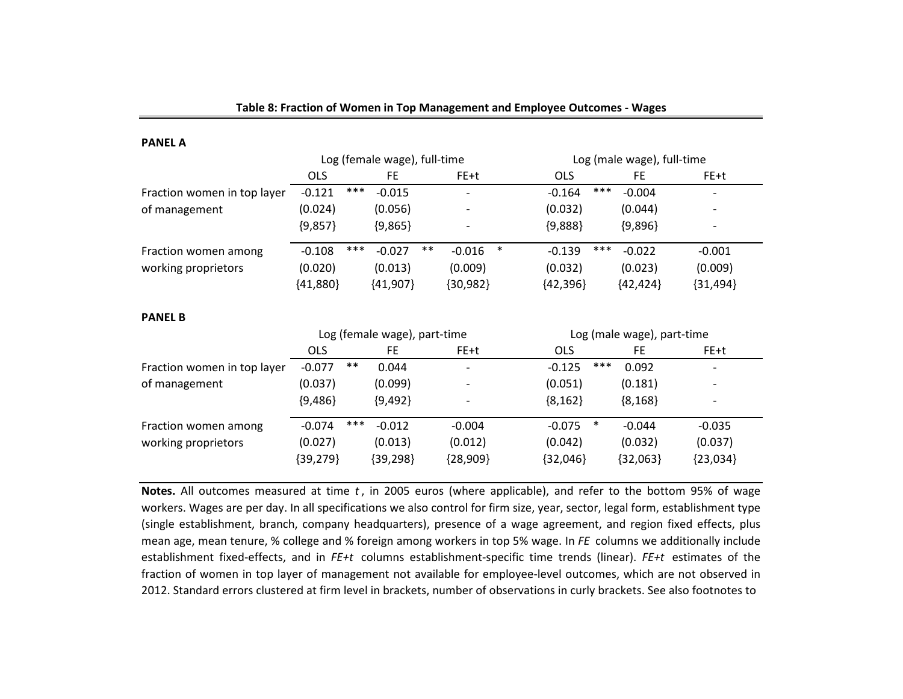| PANEL A                     |            |       |                              |       |                          |        |                            |        |                            |  |                          |  |
|-----------------------------|------------|-------|------------------------------|-------|--------------------------|--------|----------------------------|--------|----------------------------|--|--------------------------|--|
|                             |            |       | Log (female wage), full-time |       |                          |        |                            |        | Log (male wage), full-time |  |                          |  |
|                             | <b>OLS</b> |       | FE.                          |       | FE+t                     |        | <b>OLS</b>                 |        | FE.                        |  | FE+t                     |  |
| Fraction women in top layer | $-0.121$   | ***   | $-0.015$                     |       |                          |        | $-0.164$                   | ***    | $-0.004$                   |  |                          |  |
| of management               | (0.024)    |       | (0.056)                      |       |                          |        | (0.032)                    |        | (0.044)                    |  |                          |  |
|                             | ${9,857}$  |       | ${9,865}$                    |       | $\overline{\phantom{0}}$ |        | ${9,888}$                  |        | ${9,896}$                  |  |                          |  |
| Fraction women among        | $-0.108$   | ***   | $-0.027$                     | $***$ | $-0.016$                 | $\ast$ | $-0.139$                   | ***    | $-0.022$                   |  | $-0.001$                 |  |
| working proprietors         | (0.020)    |       | (0.013)                      |       | (0.009)                  |        | (0.032)                    |        | (0.023)                    |  | (0.009)                  |  |
|                             | ${41,880}$ |       | ${41,907}$                   |       | ${30,982}$               |        | ${42,396}$                 |        | ${42,424}$                 |  | ${31,494}$               |  |
| <b>PANEL B</b>              |            |       |                              |       |                          |        |                            |        |                            |  |                          |  |
|                             |            |       | Log (female wage), part-time |       |                          |        | Log (male wage), part-time |        |                            |  |                          |  |
|                             | <b>OLS</b> |       | FE.                          |       | FE+t                     |        | <b>OLS</b>                 |        | FE                         |  | FE+t                     |  |
| Fraction women in top layer | $-0.077$   | $***$ | 0.044                        |       |                          |        | $-0.125$                   | ***    | 0.092                      |  |                          |  |
| of management               | (0.037)    |       | (0.099)                      |       |                          |        | (0.051)                    |        | (0.181)                    |  |                          |  |
|                             | ${9,486}$  |       | ${9,492}$                    |       |                          |        | ${8,162}$                  |        | ${8,168}$                  |  | $\overline{\phantom{0}}$ |  |
| Fraction women among        | $-0.074$   | ***   | $-0.012$                     |       | $-0.004$                 |        | $-0.075$                   | $\ast$ | $-0.044$                   |  | $-0.035$                 |  |
| working proprietors         | (0.027)    |       | (0.013)                      |       | (0.012)                  |        | (0.042)                    |        | (0.032)                    |  | (0.037)                  |  |
|                             | ${39,279}$ |       | ${39,298}$                   |       | ${28,909}$               |        | ${32,046}$                 |        | ${32,063}$                 |  | ${23,034}$               |  |

**PANEL A**

**Notes.** All outcomes measured at time *t* , in 2005 euros (where applicable), and refer to the bottom 95% of wage workers. Wages are per day. In all specifications we also control for firm size, year, sector, legal form, establishment type (single establishment, branch, company headquarters), presence of a wage agreement, and region fixed effects, plus mean age, mean tenure, % college and % foreign among workers in top 5% wage. In *FE* columns we additionally include establishment fixed-effects, and in *FE+t* columns establishment-specific time trends (linear). *FE+t* estimates of the fraction of women in top layer of management not available for employee-level outcomes, which are not observed in 2012. Standard errors clustered at firm level in brackets, number of observations in curly brackets. See also footnotes to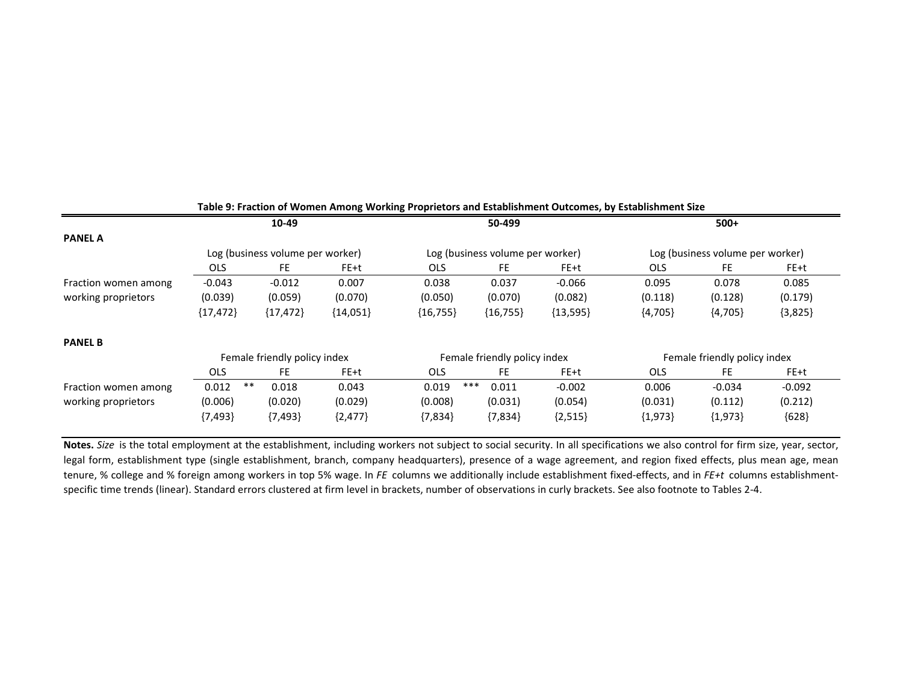|                      |             | 10-49                            |            | 50-499     |                                  |            |                                  | $500+$                       |           |
|----------------------|-------------|----------------------------------|------------|------------|----------------------------------|------------|----------------------------------|------------------------------|-----------|
| <b>PANEL A</b>       |             |                                  |            |            |                                  |            |                                  |                              |           |
|                      |             | Log (business volume per worker) |            |            | Log (business volume per worker) |            | Log (business volume per worker) |                              |           |
|                      | <b>OLS</b>  | FE.                              | FE+t       | <b>OLS</b> | FE.                              | FE+t       | OLS.                             | FE.                          | FE+t      |
| Fraction women among | $-0.043$    | $-0.012$                         | 0.007      | 0.038      | 0.037                            | $-0.066$   | 0.095                            | 0.078                        | 0.085     |
| working proprietors  | (0.039)     | (0.059)                          | (0.070)    | (0.050)    | (0.070)                          | (0.082)    | (0.118)                          | (0.128)                      | (0.179)   |
|                      | ${17,472}$  | ${17,472}$                       | ${14,051}$ | ${16,755}$ | ${16,755}$                       | ${13,595}$ | ${4,705}$                        | ${4,705}$                    | ${3,825}$ |
| <b>PANEL B</b>       |             |                                  |            |            |                                  |            |                                  |                              |           |
|                      |             | Female friendly policy index     |            |            | Female friendly policy index     |            |                                  | Female friendly policy index |           |
|                      | <b>OLS</b>  | <b>FE</b>                        | $FE + t$   | <b>OLS</b> | <b>FE</b>                        | FE+t       | OLS.                             | <b>FE</b>                    | FE+t      |
| Fraction women among | **<br>0.012 | 0.018                            | 0.043      | 0.019      | ***<br>0.011                     | $-0.002$   | 0.006                            | $-0.034$                     | $-0.092$  |
| working proprietors  | (0.006)     | (0.020)                          | (0.029)    | (0.008)    | (0.031)                          | (0.054)    | (0.031)                          | (0.112)                      | (0.212)   |
|                      | ${7,493}$   | ${7,493}$                        | ${2,477}$  | ${7,834}$  | ${7,834}$                        | ${2,515}$  | ${1,973}$                        | ${1,973}$                    | ${628}$   |

#### **Table 9: Fraction of Women Among Working Proprietors and Establishment Outcomes, by Establishment Size**

**Notes.** *Size* is the total employment at the establishment, including workers not subject to social security. In all specifications we also control for firm size, year, sector, legal form, establishment type (single establishment, branch, company headquarters), presence of a wage agreement, and region fixed effects, plus mean age, mean tenure, % college and % foreign among workers in top 5% wage. In *FE* columns we additionally include establishment fixed-effects, and in *FE+t* columns establishmentspecific time trends (linear). Standard errors clustered at firm level in brackets, number of observations in curly brackets. See also footnote to Tables 2-4.